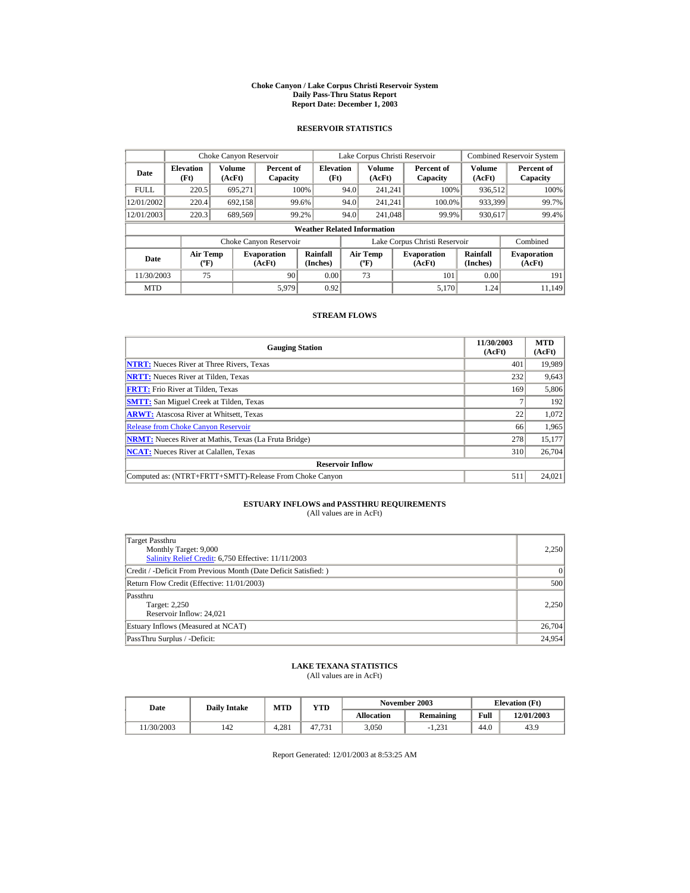#### **Choke Canyon / Lake Corpus Christi Reservoir System Daily Pass-Thru Status Report Report Date: December 1, 2003**

### **RESERVOIR STATISTICS**

|             | Choke Canyon Reservoir                      |                  |                              |                          | Lake Corpus Christi Reservoir |                                           |  |                               |                      | Combined Reservoir System    |  |  |
|-------------|---------------------------------------------|------------------|------------------------------|--------------------------|-------------------------------|-------------------------------------------|--|-------------------------------|----------------------|------------------------------|--|--|
| Date        | <b>Elevation</b><br>(Ft)                    | Volume<br>(AcFt) | Percent of<br>Capacity       | <b>Elevation</b><br>(Ft) |                               | Volume<br>(AcFt)                          |  | Percent of<br>Capacity        | Volume<br>(AcFt)     | Percent of<br>Capacity       |  |  |
| <b>FULL</b> | 220.5                                       | 695.271          |                              | 100%                     | 94.0                          | 241.241                                   |  | 100%                          | 936,512              | 100%                         |  |  |
| 12/01/2002  | 220.4                                       | 692,158          |                              | 99.6%                    | 94.0                          | 241.241                                   |  | 100.0%                        | 933,399              | 99.7%                        |  |  |
| 12/01/2003  | 220.3                                       | 689,569          |                              | 99.2%                    | 94.0                          | 241,048                                   |  | 99.9%                         | 930,617              | 99.4%                        |  |  |
|             | <b>Weather Related Information</b>          |                  |                              |                          |                               |                                           |  |                               |                      |                              |  |  |
|             |                                             |                  | Choke Canyon Reservoir       |                          |                               |                                           |  | Lake Corpus Christi Reservoir |                      | Combined                     |  |  |
| Date        | <b>Air Temp</b><br>$({}^{\circ}\mathrm{F})$ |                  | <b>Evaporation</b><br>(AcFt) | Rainfall<br>(Inches)     |                               | <b>Air Temp</b><br>$({}^{\circ}\text{F})$ |  | <b>Evaporation</b><br>(AcFt)  | Rainfall<br>(Inches) | <b>Evaporation</b><br>(AcFt) |  |  |
| 11/30/2003  | 75                                          |                  | 90                           | 0.00                     |                               | 73                                        |  | 101                           | 0.00                 | 191                          |  |  |
| <b>MTD</b>  |                                             |                  | 5.979                        | 0.92                     |                               |                                           |  | 5.170                         | 1.24                 | 11.149                       |  |  |

### **STREAM FLOWS**

| <b>Gauging Station</b>                                       | 11/30/2003<br>(AcFt) | <b>MTD</b><br>(AcFt) |
|--------------------------------------------------------------|----------------------|----------------------|
| <b>NTRT:</b> Nueces River at Three Rivers, Texas             | 401                  | 19,989               |
| <b>NRTT:</b> Nueces River at Tilden, Texas                   | 232                  | 9,643                |
| <b>FRTT:</b> Frio River at Tilden, Texas                     | 169                  | 5,806                |
| <b>SMTT:</b> San Miguel Creek at Tilden, Texas               |                      | 192                  |
| <b>ARWT:</b> Atascosa River at Whitsett, Texas               | 22                   | 1,072                |
| <b>Release from Choke Canyon Reservoir</b>                   | 66                   | 1,965                |
| <b>NRMT:</b> Nueces River at Mathis, Texas (La Fruta Bridge) | 278                  | 15,177               |
| <b>NCAT:</b> Nueces River at Calallen, Texas                 | 310                  | 26,704               |
| <b>Reservoir Inflow</b>                                      |                      |                      |
| Computed as: (NTRT+FRTT+SMTT)-Release From Choke Canyon      | 511                  | 24,021               |

# **ESTUARY INFLOWS and PASSTHRU REQUIREMENTS**<br>(All values are in AcFt)

| Target Passthru<br>Monthly Target: 9,000<br>Salinity Relief Credit: 6,750 Effective: 11/11/2003 | 2.250  |
|-------------------------------------------------------------------------------------------------|--------|
| Credit / -Deficit From Previous Month (Date Deficit Satisfied: )                                | 0      |
| Return Flow Credit (Effective: 11/01/2003)                                                      | 500    |
| Passthru<br>Target: 2,250<br>Reservoir Inflow: 24,021                                           | 2.250  |
| Estuary Inflows (Measured at NCAT)                                                              | 26,704 |
| PassThru Surplus / -Deficit:                                                                    | 24,954 |

## **LAKE TEXANA STATISTICS**

(All values are in AcFt)

| Date      | <b>Daily Intake</b> | <b>MTD</b> | YTD    |                   | November 2003 | <b>Elevation</b> (Ft) |            |
|-----------|---------------------|------------|--------|-------------------|---------------|-----------------------|------------|
|           |                     |            |        | <b>Allocation</b> | Remaining     | Full                  | 12/01/2003 |
| 1/30/2003 | 142                 | 4.281      | 47.731 | 3.050             | 1.231         | 44.0                  | 43.9       |

Report Generated: 12/01/2003 at 8:53:25 AM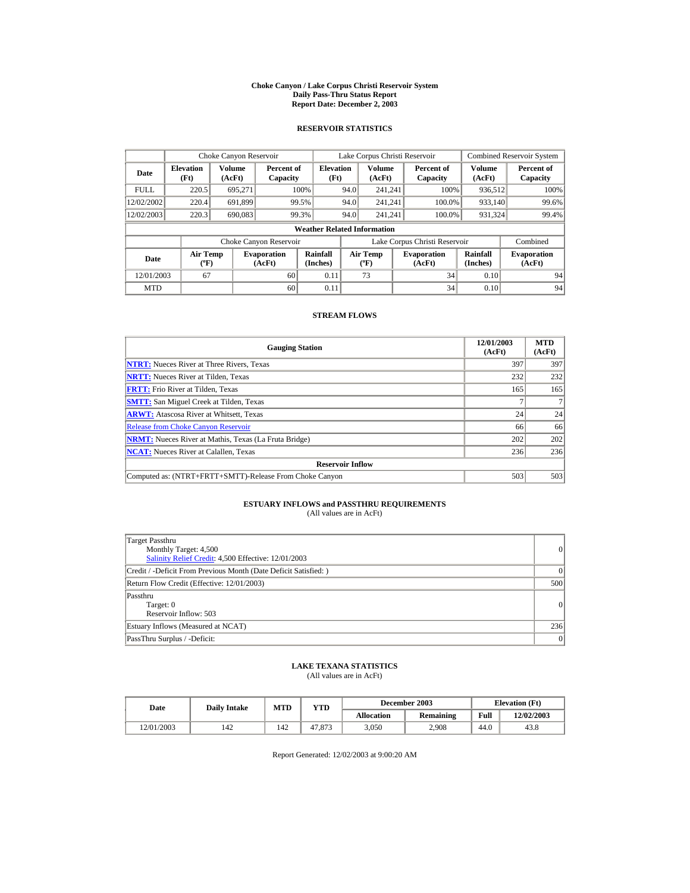#### **Choke Canyon / Lake Corpus Christi Reservoir System Daily Pass-Thru Status Report Report Date: December 2, 2003**

### **RESERVOIR STATISTICS**

|             | Choke Canyon Reservoir                      |                         |                              |                          |      | Lake Corpus Christi Reservoir             |  |                               |                      | <b>Combined Reservoir System</b> |  |  |
|-------------|---------------------------------------------|-------------------------|------------------------------|--------------------------|------|-------------------------------------------|--|-------------------------------|----------------------|----------------------------------|--|--|
| Date        | <b>Elevation</b><br>(Ft)                    | <b>Volume</b><br>(AcFt) | Percent of<br>Capacity       | <b>Elevation</b><br>(Ft) |      | Volume<br>(AcFt)                          |  | Percent of<br>Capacity        | Volume<br>(AcFt)     | Percent of<br>Capacity           |  |  |
| <b>FULL</b> | 220.5                                       | 695.271                 |                              | 100%                     | 94.0 | 241.241                                   |  | 100%                          | 936,512              | 100%                             |  |  |
| 12/02/2002  | 220.4                                       | 691.899                 | 99.5%                        |                          | 94.0 | 241.241                                   |  | 100.0%                        | 933.140              | 99.6%                            |  |  |
| 12/02/2003  | 220.3                                       | 690,083                 | 99.3%                        |                          | 94.0 | 241.241                                   |  | 100.0%                        | 931.324              | 99.4%                            |  |  |
|             | <b>Weather Related Information</b>          |                         |                              |                          |      |                                           |  |                               |                      |                                  |  |  |
|             |                                             |                         | Choke Canyon Reservoir       |                          |      |                                           |  | Lake Corpus Christi Reservoir |                      | Combined                         |  |  |
| Date        | <b>Air Temp</b><br>$({}^{\circ}\mathrm{F})$ |                         | <b>Evaporation</b><br>(AcFt) | Rainfall<br>(Inches)     |      | <b>Air Temp</b><br>$({}^{\circ}\text{F})$ |  | <b>Evaporation</b><br>(AcFt)  | Rainfall<br>(Inches) | <b>Evaporation</b><br>(AcFt)     |  |  |
| 12/01/2003  | 67                                          |                         | 60                           | 0.11                     |      | 73                                        |  | 34                            | 0.10                 | 94                               |  |  |
| <b>MTD</b>  |                                             |                         | 60                           | 0.11                     |      |                                           |  | 34                            | 0.10                 | 94                               |  |  |

### **STREAM FLOWS**

| <b>Gauging Station</b>                                       | 12/01/2003<br>(AcFt) | <b>MTD</b><br>(AcFt) |
|--------------------------------------------------------------|----------------------|----------------------|
| <b>NTRT:</b> Nueces River at Three Rivers, Texas             | 397                  | 397                  |
| <b>NRTT:</b> Nueces River at Tilden, Texas                   | 232                  | 232                  |
| <b>FRTT:</b> Frio River at Tilden, Texas                     | 165                  | 165                  |
| <b>SMTT:</b> San Miguel Creek at Tilden, Texas               |                      |                      |
| <b>ARWT:</b> Atascosa River at Whitsett, Texas               | 24                   | 24                   |
| <b>Release from Choke Canyon Reservoir</b>                   | 66                   | 66                   |
| <b>NRMT:</b> Nueces River at Mathis, Texas (La Fruta Bridge) | 202                  | 202                  |
| <b>NCAT:</b> Nueces River at Calallen, Texas                 | 236                  | 236                  |
| <b>Reservoir Inflow</b>                                      |                      |                      |
| Computed as: (NTRT+FRTT+SMTT)-Release From Choke Canyon      | 503                  | 503                  |

# **ESTUARY INFLOWS and PASSTHRU REQUIREMENTS**<br>(All values are in AcFt)

| Target Passthru<br>Monthly Target: 4,500<br>Salinity Relief Credit: 4,500 Effective: 12/01/2003 | 0         |
|-------------------------------------------------------------------------------------------------|-----------|
| Credit / -Deficit From Previous Month (Date Deficit Satisfied: )                                | $\vert$ 0 |
| Return Flow Credit (Effective: 12/01/2003)                                                      | 500       |
| Passthru<br>Target: 0<br>Reservoir Inflow: 503                                                  | 0         |
| Estuary Inflows (Measured at NCAT)                                                              | 236       |
| PassThru Surplus / -Deficit:                                                                    | 0         |

### **LAKE TEXANA STATISTICS**

(All values are in AcFt)

| Date       |     | MTD<br>YTD<br><b>Daily Intake</b> |        |                   | December 2003    | <b>Elevation</b> (Ft) |            |
|------------|-----|-----------------------------------|--------|-------------------|------------------|-----------------------|------------|
|            |     |                                   |        | <b>Allocation</b> | <b>Remaining</b> | Full                  | 12/02/2003 |
| 12/01/2003 | 42ء | 142                               | 47.873 | 3.050             | 2.908            | 44.0                  | 43.8       |

Report Generated: 12/02/2003 at 9:00:20 AM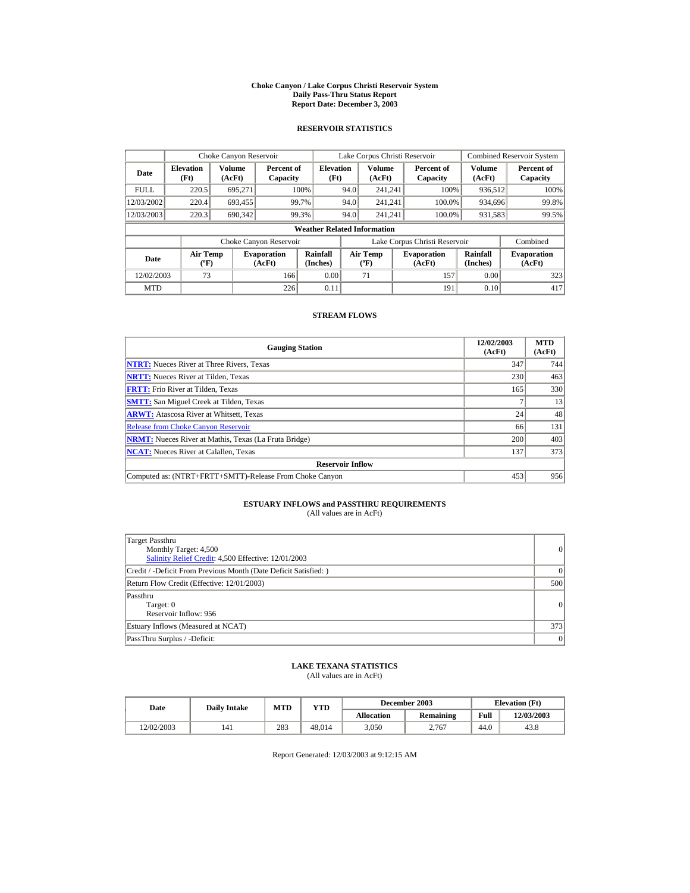#### **Choke Canyon / Lake Corpus Christi Reservoir System Daily Pass-Thru Status Report Report Date: December 3, 2003**

### **RESERVOIR STATISTICS**

|             | Choke Canyon Reservoir                      |                  |                              |                          |      | Lake Corpus Christi Reservoir             |  |                               |                      | <b>Combined Reservoir System</b> |  |  |
|-------------|---------------------------------------------|------------------|------------------------------|--------------------------|------|-------------------------------------------|--|-------------------------------|----------------------|----------------------------------|--|--|
| Date        | <b>Elevation</b><br>(Ft)                    | Volume<br>(AcFt) | Percent of<br>Capacity       | <b>Elevation</b><br>(Ft) |      | Volume<br>(AcFt)                          |  | Percent of<br>Capacity        | Volume<br>(AcFt)     | Percent of<br>Capacity           |  |  |
| <b>FULL</b> | 220.5                                       | 695.271          |                              | 100%                     | 94.0 | 241.241                                   |  | 100%                          | 936,512              | 100%                             |  |  |
| 12/03/2002  | 220.4                                       | 693,455          |                              | 99.7%                    | 94.0 | 241.241                                   |  | 100.0%                        | 934.696              | 99.8%                            |  |  |
| 12/03/2003  | 220.3                                       | 690.342          |                              | 99.3%                    | 94.0 | 241.241                                   |  | 100.0%                        | 931,583              | 99.5%                            |  |  |
|             | <b>Weather Related Information</b>          |                  |                              |                          |      |                                           |  |                               |                      |                                  |  |  |
|             |                                             |                  | Choke Canyon Reservoir       |                          |      |                                           |  | Lake Corpus Christi Reservoir |                      | Combined                         |  |  |
| Date        | <b>Air Temp</b><br>$({}^{\circ}\mathrm{F})$ |                  | <b>Evaporation</b><br>(AcFt) | Rainfall<br>(Inches)     |      | <b>Air Temp</b><br>$({}^{\circ}\text{F})$ |  | <b>Evaporation</b><br>(AcFt)  | Rainfall<br>(Inches) | <b>Evaporation</b><br>(AcFt)     |  |  |
| 12/02/2003  | 73                                          |                  | 166                          | 0.00                     |      | 71                                        |  | 157                           | 0.00                 | 323                              |  |  |
| <b>MTD</b>  |                                             |                  | 226                          | 0.11                     |      |                                           |  | 191                           | 0.10                 | 417                              |  |  |

### **STREAM FLOWS**

| <b>Gauging Station</b>                                       | 12/02/2003<br>(AcFt) | <b>MTD</b><br>(AcFt) |
|--------------------------------------------------------------|----------------------|----------------------|
| <b>NTRT:</b> Nueces River at Three Rivers, Texas             | 347                  | 744                  |
| <b>NRTT:</b> Nueces River at Tilden, Texas                   | 230                  | 463                  |
| <b>FRTT:</b> Frio River at Tilden, Texas                     | 165                  | 330                  |
| <b>SMTT:</b> San Miguel Creek at Tilden, Texas               |                      | 13                   |
| <b>ARWT:</b> Atascosa River at Whitsett, Texas               | 24                   | 48                   |
| <b>Release from Choke Canyon Reservoir</b>                   | 66                   | 131                  |
| <b>NRMT:</b> Nueces River at Mathis, Texas (La Fruta Bridge) | 200                  | 403                  |
| <b>NCAT:</b> Nueces River at Calallen, Texas                 | 137                  | 373                  |
| <b>Reservoir Inflow</b>                                      |                      |                      |
| Computed as: (NTRT+FRTT+SMTT)-Release From Choke Canyon      | 453                  | 956                  |

# **ESTUARY INFLOWS and PASSTHRU REQUIREMENTS**<br>(All values are in AcFt)

| Target Passthru<br>Monthly Target: 4,500<br>Salinity Relief Credit: 4,500 Effective: 12/01/2003 | 0         |
|-------------------------------------------------------------------------------------------------|-----------|
| Credit / -Deficit From Previous Month (Date Deficit Satisfied: )                                | $\vert$ 0 |
| Return Flow Credit (Effective: 12/01/2003)                                                      | 500       |
| Passthru<br>Target: 0<br>Reservoir Inflow: 956                                                  | 0         |
| Estuary Inflows (Measured at NCAT)                                                              | 373       |
| PassThru Surplus / -Deficit:                                                                    | 0         |

### **LAKE TEXANA STATISTICS**

(All values are in AcFt)

| Date       | <b>Daily Intake</b> | <b>MTD</b> | YTD    | December 2003     |           | <b>Elevation</b> (Ft) |            |
|------------|---------------------|------------|--------|-------------------|-----------|-----------------------|------------|
|            |                     |            |        | <b>Allocation</b> | Remaining | Full                  | 12/03/2003 |
| 12/02/2003 | 141                 | 283        | 48.014 | 3.050             | 2.767     | 44.0                  | 43.8       |

Report Generated: 12/03/2003 at 9:12:15 AM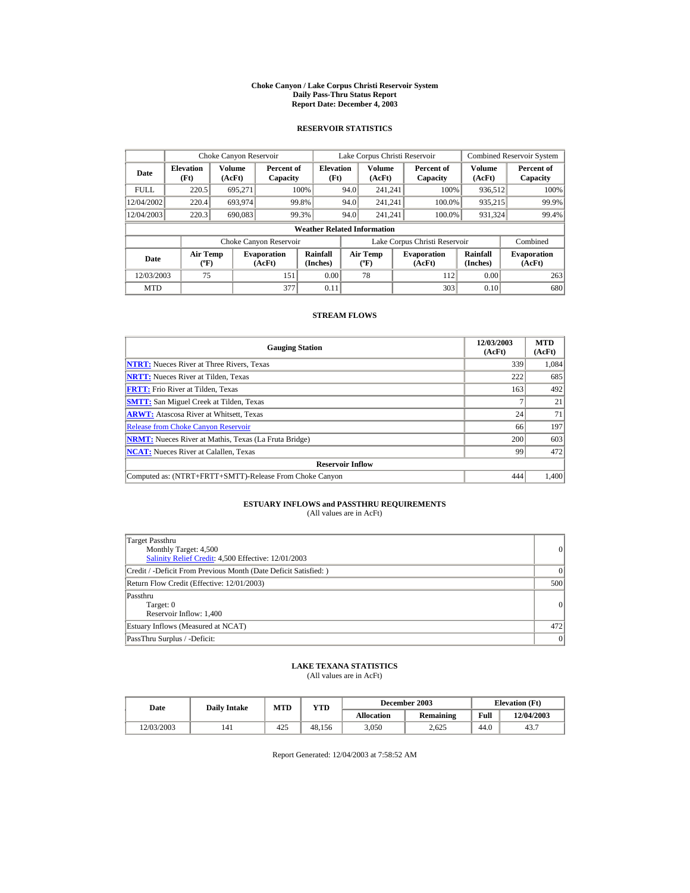#### **Choke Canyon / Lake Corpus Christi Reservoir System Daily Pass-Thru Status Report Report Date: December 4, 2003**

### **RESERVOIR STATISTICS**

|                                  | Choke Canyon Reservoir                      |                  |                              |                                                    |      | Lake Corpus Christi Reservoir             |  |                               |                      | <b>Combined Reservoir System</b> |  |  |
|----------------------------------|---------------------------------------------|------------------|------------------------------|----------------------------------------------------|------|-------------------------------------------|--|-------------------------------|----------------------|----------------------------------|--|--|
| <b>Elevation</b><br>Date<br>(Ft) |                                             | Volume<br>(AcFt) |                              | <b>Elevation</b><br>Percent of<br>(Ft)<br>Capacity |      | Volume<br>(AcFt)                          |  | Percent of<br>Capacity        | Volume<br>(AcFt)     | Percent of<br>Capacity           |  |  |
| <b>FULL</b>                      | 220.5                                       | 695.271          |                              | 100%                                               | 94.0 | 241.241                                   |  | 100%                          | 936,512              | 100%                             |  |  |
| 12/04/2002                       | 220.4                                       | 693.974          |                              | 99.8%                                              | 94.0 | 241.241                                   |  | 100.0%                        | 935,215              | 99.9%                            |  |  |
| 12/04/2003                       | 220.3                                       | 690,083          |                              | 99.3%                                              | 94.0 | 241.241                                   |  | 100.0%                        | 931,324              | 99.4%                            |  |  |
|                                  | <b>Weather Related Information</b>          |                  |                              |                                                    |      |                                           |  |                               |                      |                                  |  |  |
|                                  |                                             |                  | Choke Canyon Reservoir       |                                                    |      |                                           |  | Lake Corpus Christi Reservoir |                      | Combined                         |  |  |
| Date                             | <b>Air Temp</b><br>$({}^{\circ}\mathrm{F})$ |                  | <b>Evaporation</b><br>(AcFt) | Rainfall<br>(Inches)                               |      | <b>Air Temp</b><br>$({}^{\circ}\text{F})$ |  | <b>Evaporation</b><br>(AcFt)  | Rainfall<br>(Inches) | <b>Evaporation</b><br>(AcFt)     |  |  |
| 12/03/2003                       | 75                                          |                  | 151                          | 0.00                                               |      | 78                                        |  | 112                           | 0.00                 | 263                              |  |  |
| <b>MTD</b>                       |                                             |                  | 377                          | 0.11                                               |      |                                           |  | 303                           | 0.10                 | 680                              |  |  |

### **STREAM FLOWS**

| <b>Gauging Station</b>                                       | 12/03/2003<br>(AcFt) | <b>MTD</b><br>(AcFt) |
|--------------------------------------------------------------|----------------------|----------------------|
| <b>NTRT:</b> Nueces River at Three Rivers, Texas             | 339                  | 1,084                |
| <b>NRTT:</b> Nueces River at Tilden, Texas                   | 222                  | 685                  |
| <b>FRTT:</b> Frio River at Tilden, Texas                     | 163                  | 492                  |
| <b>SMTT:</b> San Miguel Creek at Tilden, Texas               |                      | 21                   |
| <b>ARWT:</b> Atascosa River at Whitsett, Texas               | 24                   | 71                   |
| <b>Release from Choke Canvon Reservoir</b>                   | 66                   | 197                  |
| <b>NRMT:</b> Nueces River at Mathis, Texas (La Fruta Bridge) | 200                  | 603                  |
| <b>NCAT:</b> Nueces River at Calallen, Texas                 | 99                   | 472                  |
| <b>Reservoir Inflow</b>                                      |                      |                      |
| Computed as: (NTRT+FRTT+SMTT)-Release From Choke Canyon      | 444                  | 1,400                |

# **ESTUARY INFLOWS and PASSTHRU REQUIREMENTS**<br>(All values are in AcFt)

| Target Passthru<br>Monthly Target: 4,500<br>Salinity Relief Credit: 4,500 Effective: 12/01/2003 | 0        |
|-------------------------------------------------------------------------------------------------|----------|
| Credit / -Deficit From Previous Month (Date Deficit Satisfied: )                                | $\Omega$ |
| Return Flow Credit (Effective: 12/01/2003)                                                      | 500      |
| Passthru<br>Target: 0<br>Reservoir Inflow: 1,400                                                | 0        |
| Estuary Inflows (Measured at NCAT)                                                              | 472      |
| PassThru Surplus / -Deficit:                                                                    | 0        |

### **LAKE TEXANA STATISTICS**

(All values are in AcFt)

| Date       | <b>Daily Intake</b> | <b>MTD</b> | YTD    |                   | December 2003 |      | <b>Elevation</b> (Ft) |
|------------|---------------------|------------|--------|-------------------|---------------|------|-----------------------|
|            |                     |            |        | <b>Allocation</b> | Remaining     | Full | 12/04/2003            |
| 12/03/2003 | 141                 | 425        | 48.156 | 3.050             | 2.625         | 44.0 | 43.7                  |

Report Generated: 12/04/2003 at 7:58:52 AM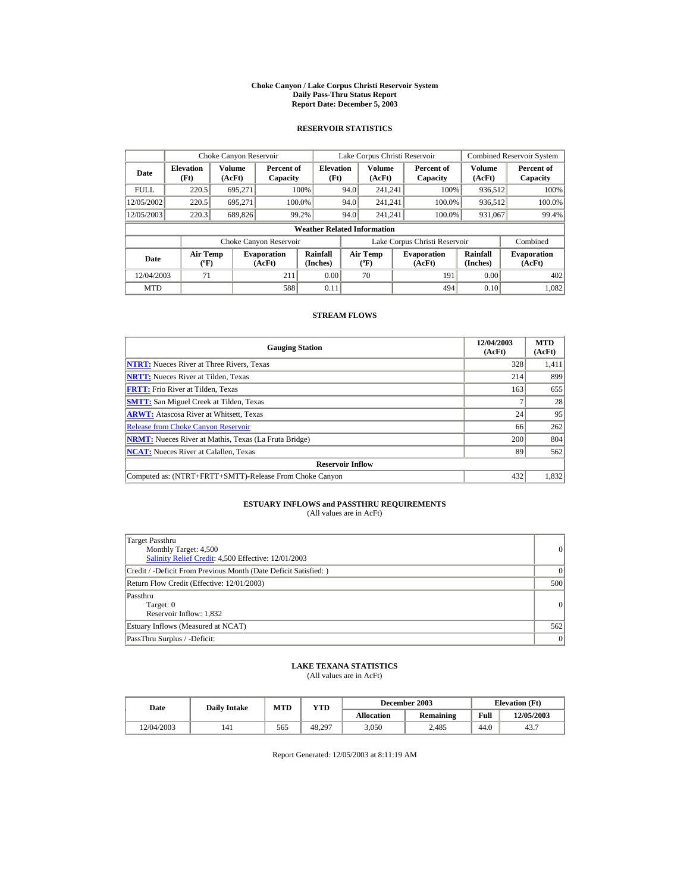#### **Choke Canyon / Lake Corpus Christi Reservoir System Daily Pass-Thru Status Report Report Date: December 5, 2003**

### **RESERVOIR STATISTICS**

|             | Choke Canyon Reservoir             |                  |                              |                          |      | Lake Corpus Christi Reservoir     |  |                               |                         | <b>Combined Reservoir System</b> |  |  |
|-------------|------------------------------------|------------------|------------------------------|--------------------------|------|-----------------------------------|--|-------------------------------|-------------------------|----------------------------------|--|--|
| Date        | <b>Elevation</b><br>(Ft)           | Volume<br>(AcFt) | Percent of<br>Capacity       | <b>Elevation</b><br>(Ft) |      | <b>Volume</b><br>(AcFt)           |  | Percent of<br>Capacity        | <b>Volume</b><br>(AcFt) | Percent of<br>Capacity           |  |  |
| <b>FULL</b> | 220.5                              | 695.271          |                              | 100%                     | 94.0 | 241.241                           |  | 100%                          | 936,512                 | 100%                             |  |  |
| 12/05/2002  | 220.5                              | 695.271          |                              | 100.0%                   | 94.0 | 241.241                           |  | 100.0%                        | 936,512                 | 100.0%                           |  |  |
| 12/05/2003  | 220.3                              | 689,826          |                              | 99.2%                    | 94.0 | 241.241                           |  | 100.0%                        | 931,067                 | 99.4%                            |  |  |
|             | <b>Weather Related Information</b> |                  |                              |                          |      |                                   |  |                               |                         |                                  |  |  |
|             |                                    |                  | Choke Canyon Reservoir       |                          |      |                                   |  | Lake Corpus Christi Reservoir |                         | Combined                         |  |  |
| Date        | Air Temp<br>$({}^o\mathrm{F})$     |                  | <b>Evaporation</b><br>(AcFt) | Rainfall<br>(Inches)     |      | Air Temp<br>$({}^{\circ}{\rm F})$ |  | <b>Evaporation</b><br>(AcFt)  | Rainfall<br>(Inches)    | <b>Evaporation</b><br>(AcFt)     |  |  |
| 12/04/2003  | 71                                 |                  | 211                          | 0.00                     |      | 70                                |  | 191                           | 0.00                    | 402                              |  |  |
| <b>MTD</b>  |                                    |                  | 588                          | 0.11                     |      |                                   |  | 494                           | 0.10                    | 1,082                            |  |  |

### **STREAM FLOWS**

| <b>Gauging Station</b>                                       | 12/04/2003<br>(AcFt) | <b>MTD</b><br>(AcFt) |
|--------------------------------------------------------------|----------------------|----------------------|
| <b>NTRT:</b> Nueces River at Three Rivers, Texas             | 328                  | 1,411                |
| <b>NRTT:</b> Nueces River at Tilden, Texas                   | 214                  | 899                  |
| <b>FRTT:</b> Frio River at Tilden, Texas                     | 163                  | 655                  |
| <b>SMTT:</b> San Miguel Creek at Tilden, Texas               |                      | 28                   |
| <b>ARWT:</b> Atascosa River at Whitsett, Texas               | 24                   | 95                   |
| <b>Release from Choke Canvon Reservoir</b>                   | 66                   | 262                  |
| <b>NRMT:</b> Nueces River at Mathis, Texas (La Fruta Bridge) | 200                  | 804                  |
| <b>NCAT:</b> Nueces River at Calallen, Texas                 | 89                   | 562                  |
| <b>Reservoir Inflow</b>                                      |                      |                      |
| Computed as: (NTRT+FRTT+SMTT)-Release From Choke Canyon      | 432                  | 1,832                |

# **ESTUARY INFLOWS and PASSTHRU REQUIREMENTS**<br>(All values are in AcFt)

| Target Passthru<br>Monthly Target: 4,500<br>Salinity Relief Credit: 4,500 Effective: 12/01/2003 | 0        |
|-------------------------------------------------------------------------------------------------|----------|
| Credit / -Deficit From Previous Month (Date Deficit Satisfied: )                                | $\Omega$ |
| Return Flow Credit (Effective: 12/01/2003)                                                      | 500      |
| Passthru<br>Target: 0<br>Reservoir Inflow: 1,832                                                | 0        |
| Estuary Inflows (Measured at NCAT)                                                              | 562      |
| PassThru Surplus / -Deficit:                                                                    | 0        |

### **LAKE TEXANA STATISTICS**

(All values are in AcFt)

| Date       | <b>Daily Intake</b> | <b>MTD</b> | YTD    |                   | December 2003 |      | <b>Elevation</b> (Ft) |
|------------|---------------------|------------|--------|-------------------|---------------|------|-----------------------|
|            |                     |            |        | <b>Allocation</b> | Remaining     | Full | 12/05/2003            |
| 12/04/2003 | 141                 | 565        | 48.297 | 3.050             | 2.485         | 44.0 | 43.7                  |

Report Generated: 12/05/2003 at 8:11:19 AM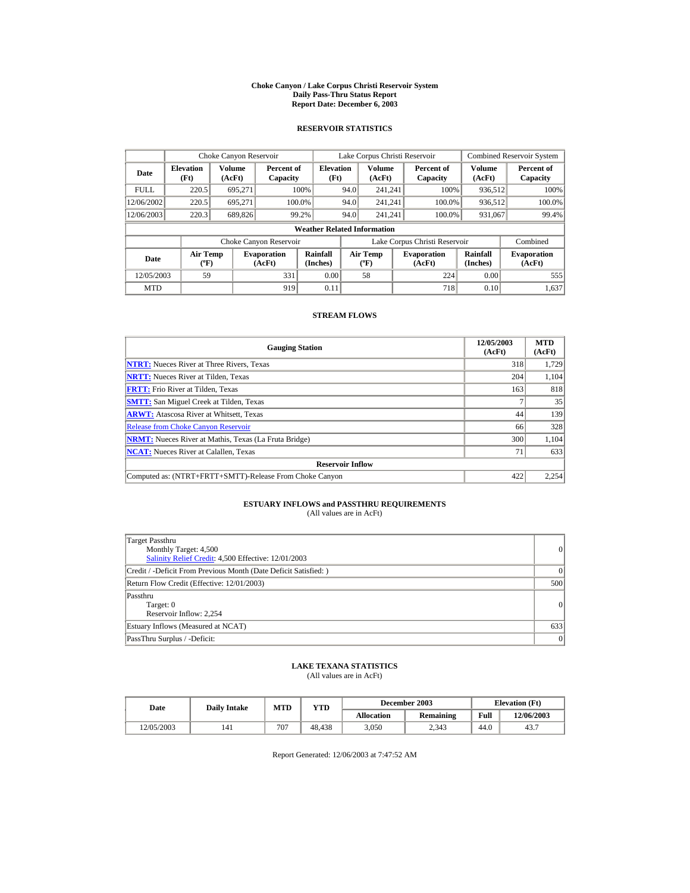#### **Choke Canyon / Lake Corpus Christi Reservoir System Daily Pass-Thru Status Report Report Date: December 6, 2003**

### **RESERVOIR STATISTICS**

|             | Choke Canyon Reservoir                       |         |                              |                          |      | Lake Corpus Christi Reservoir             |  |                               |                      | <b>Combined Reservoir System</b> |  |
|-------------|----------------------------------------------|---------|------------------------------|--------------------------|------|-------------------------------------------|--|-------------------------------|----------------------|----------------------------------|--|
| Date        | Volume<br><b>Elevation</b><br>(Ft)<br>(AcFt) |         | Percent of<br>Capacity       | <b>Elevation</b><br>(Ft) |      | Volume<br>(AcFt)                          |  | Percent of<br>Capacity        | Volume<br>(AcFt)     | Percent of<br>Capacity           |  |
| <b>FULL</b> | 220.5                                        | 695.271 |                              | 100%                     | 94.0 | 241.241                                   |  | 100%                          | 936,512              | 100%                             |  |
| 12/06/2002  | 220.5                                        | 695.271 | 100.0%                       |                          | 94.0 | 241.241                                   |  | 100.0%                        | 936,512              | 100.0%                           |  |
| 12/06/2003  | 220.3                                        | 689,826 |                              | 99.2%                    | 94.0 | 241.241                                   |  | 100.0%                        | 931,067              | 99.4%                            |  |
|             | <b>Weather Related Information</b>           |         |                              |                          |      |                                           |  |                               |                      |                                  |  |
|             |                                              |         | Choke Canyon Reservoir       |                          |      |                                           |  | Lake Corpus Christi Reservoir |                      | Combined                         |  |
| Date        | <b>Air Temp</b><br>$({}^{\circ}\mathrm{F})$  |         | <b>Evaporation</b><br>(AcFt) | Rainfall<br>(Inches)     |      | <b>Air Temp</b><br>$({}^{\circ}\text{F})$ |  | <b>Evaporation</b><br>(AcFt)  | Rainfall<br>(Inches) | <b>Evaporation</b><br>(AcFt)     |  |
| 12/05/2003  | 59                                           |         | 331                          | 0.00                     |      | 58                                        |  | 224                           | 0.00                 | 555                              |  |
| <b>MTD</b>  |                                              |         | 919                          | 0.11                     |      |                                           |  | 718                           | 0.10                 | 1.637                            |  |

### **STREAM FLOWS**

| <b>Gauging Station</b>                                       | 12/05/2003<br>(AcFt) | <b>MTD</b><br>(AcFt) |
|--------------------------------------------------------------|----------------------|----------------------|
| <b>NTRT:</b> Nueces River at Three Rivers, Texas             | 318                  | 1,729                |
| <b>NRTT:</b> Nueces River at Tilden, Texas                   | 204                  | 1,104                |
| <b>FRTT:</b> Frio River at Tilden, Texas                     | 163                  | 818                  |
| <b>SMTT:</b> San Miguel Creek at Tilden, Texas               |                      | 35                   |
| <b>ARWT:</b> Atascosa River at Whitsett, Texas               | 44                   | 139                  |
| <b>Release from Choke Canyon Reservoir</b>                   | 66                   | 328                  |
| <b>NRMT:</b> Nueces River at Mathis, Texas (La Fruta Bridge) | 300                  | 1.104                |
| <b>NCAT:</b> Nueces River at Calallen, Texas                 | 71                   | 633                  |
| <b>Reservoir Inflow</b>                                      |                      |                      |
| Computed as: (NTRT+FRTT+SMTT)-Release From Choke Canyon      | 422                  | 2,254                |

# **ESTUARY INFLOWS and PASSTHRU REQUIREMENTS**<br>(All values are in AcFt)

| Target Passthru<br>Monthly Target: 4,500<br>Salinity Relief Credit: 4,500 Effective: 12/01/2003 | 0         |
|-------------------------------------------------------------------------------------------------|-----------|
| Credit / -Deficit From Previous Month (Date Deficit Satisfied: )                                | $\vert$ 0 |
| Return Flow Credit (Effective: 12/01/2003)                                                      | 500       |
| Passthru<br>Target: 0<br>Reservoir Inflow: 2.254                                                | 0         |
| Estuary Inflows (Measured at NCAT)                                                              | 633       |
| PassThru Surplus / -Deficit:                                                                    | 0         |

### **LAKE TEXANA STATISTICS**

(All values are in AcFt)

| Date       | <b>Daily Intake</b> | <b>MTD</b> | YTD    | December 2003 |                  | <b>Elevation</b> (Ft) |            |
|------------|---------------------|------------|--------|---------------|------------------|-----------------------|------------|
|            |                     |            |        | Allocation    | <b>Remaining</b> | Full                  | 12/06/2003 |
| 12/05/2003 | 141                 | 707        | 48.438 | 3.050         | 2.343            | 44.0                  | 43.7       |

Report Generated: 12/06/2003 at 7:47:52 AM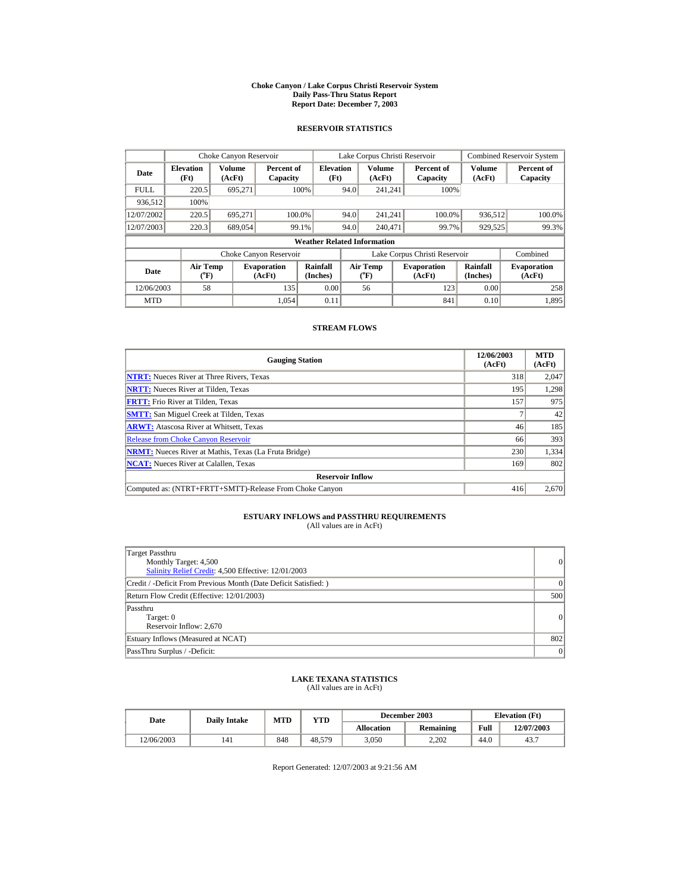#### **Choke Canyon / Lake Corpus Christi Reservoir System Daily Pass-Thru Status Report Report Date: December 7, 2003**

### **RESERVOIR STATISTICS**

|             | Choke Canyon Reservoir             |                         |                              |                          | Lake Corpus Christi Reservoir |                                             |  |                              |                         | <b>Combined Reservoir System</b> |  |
|-------------|------------------------------------|-------------------------|------------------------------|--------------------------|-------------------------------|---------------------------------------------|--|------------------------------|-------------------------|----------------------------------|--|
| <b>Date</b> | <b>Elevation</b><br>(Ft)           | <b>Volume</b><br>(AcFt) | Percent of<br>Capacity       | <b>Elevation</b><br>(Ft) |                               | Volume<br>(AcFt)                            |  | Percent of<br>Capacity       | <b>Volume</b><br>(AcFt) | Percent of<br>Capacity           |  |
| FULL.       | 220.5                              | 695,271                 |                              | 100%                     | 94.0                          | 241.241                                     |  | 100%                         |                         |                                  |  |
| 936.512     | 100%                               |                         |                              |                          |                               |                                             |  |                              |                         |                                  |  |
| 12/07/2002  | 220.5                              | 695.271                 |                              | 100.0%                   | 94.0                          | 241.241                                     |  | 100.0%                       | 936,512                 | 100.0%                           |  |
| 12/07/2003  | 220.3                              | 689,054                 |                              | 99.1%                    | 94.0                          | 240,471                                     |  | 99.7%                        | 929,525                 | 99.3%                            |  |
|             | <b>Weather Related Information</b> |                         |                              |                          |                               |                                             |  |                              |                         |                                  |  |
|             |                                    |                         | Choke Canyon Reservoir       |                          | Lake Corpus Christi Reservoir |                                             |  |                              | Combined                |                                  |  |
| Date        | <b>Air Temp</b><br>(°F)            |                         | <b>Evaporation</b><br>(AcFt) | Rainfall<br>(Inches)     |                               | <b>Air Temp</b><br>$({}^{\circ}\mathrm{F})$ |  | <b>Evaporation</b><br>(AcFt) | Rainfall<br>(Inches)    | <b>Evaporation</b><br>(AcFt)     |  |
| 12/06/2003  | 58                                 |                         | 135                          | 0.00                     |                               | 56                                          |  | 123                          | 0.00                    | 258                              |  |
| <b>MTD</b>  |                                    |                         | 1.054                        | 0.11                     |                               |                                             |  | 841                          | 0.10                    | 1,895                            |  |

### **STREAM FLOWS**

| <b>Gauging Station</b>                                       | 12/06/2003<br>(AcFt) | <b>MTD</b><br>(AcFt) |
|--------------------------------------------------------------|----------------------|----------------------|
| <b>NTRT:</b> Nueces River at Three Rivers, Texas             | 318                  | 2,047                |
| <b>NRTT:</b> Nueces River at Tilden, Texas                   | 195                  | 1,298                |
| <b>FRTT:</b> Frio River at Tilden, Texas                     | 157                  | 975                  |
| <b>SMTT:</b> San Miguel Creek at Tilden, Texas               |                      | 42                   |
| <b>ARWT:</b> Atascosa River at Whitsett, Texas               | 46                   | 185                  |
| <b>Release from Choke Canvon Reservoir</b>                   | 66                   | 393                  |
| <b>NRMT:</b> Nueces River at Mathis, Texas (La Fruta Bridge) | 230                  | 1,334                |
| <b>NCAT:</b> Nueces River at Calallen, Texas                 | 169                  | 802                  |
| <b>Reservoir Inflow</b>                                      |                      |                      |
| Computed as: (NTRT+FRTT+SMTT)-Release From Choke Canyon      | 416                  | 2,670                |

# **ESTUARY INFLOWS and PASSTHRU REQUIREMENTS**<br>(All values are in AcFt)

| Target Passthru<br>Monthly Target: 4,500<br>Salinity Relief Credit: 4,500 Effective: 12/01/2003 | $\overline{0}$ |
|-------------------------------------------------------------------------------------------------|----------------|
| Credit / -Deficit From Previous Month (Date Deficit Satisfied:)                                 | $\Omega$       |
| Return Flow Credit (Effective: 12/01/2003)                                                      | 500            |
| Passthru<br>Target: 0<br>Reservoir Inflow: 2,670                                                | 0              |
| Estuary Inflows (Measured at NCAT)                                                              | 802            |
| PassThru Surplus / -Deficit:                                                                    | 0              |

## **LAKE TEXANA STATISTICS**

(All values are in AcFt)

| Date       | <b>Daily Intake</b> | MTD | YTD    |                   | December 2003    | <b>Elevation</b> (Ft) |            |
|------------|---------------------|-----|--------|-------------------|------------------|-----------------------|------------|
|            |                     |     |        | <b>Allocation</b> | <b>Remaining</b> | Full                  | 12/07/2003 |
| 12/06/2003 | 141                 | 848 | 48.579 | 3.050             | 2.202            | 44.0                  | 43.7       |

Report Generated: 12/07/2003 at 9:21:56 AM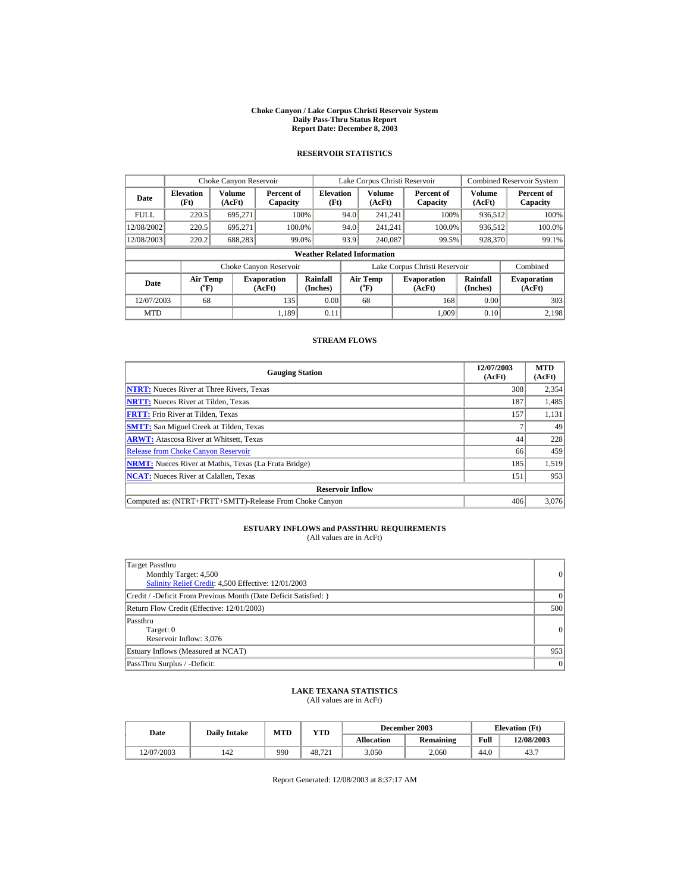#### **Choke Canyon / Lake Corpus Christi Reservoir System Daily Pass-Thru Status Report Report Date: December 8, 2003**

## **RESERVOIR STATISTICS**

|             | Choke Canyon Reservoir                |                  |                              |                          | Lake Corpus Christi Reservoir |                       |  |                               |                         | <b>Combined Reservoir System</b> |  |  |
|-------------|---------------------------------------|------------------|------------------------------|--------------------------|-------------------------------|-----------------------|--|-------------------------------|-------------------------|----------------------------------|--|--|
| Date        | <b>Elevation</b><br>(Ft)              | Volume<br>(AcFt) | Percent of<br>Capacity       | <b>Elevation</b><br>(Ft) |                               | Volume<br>(AcFt)      |  | Percent of<br>Capacity        | <b>Volume</b><br>(AcFt) | Percent of<br>Capacity           |  |  |
| <b>FULL</b> | 220.5                                 | 695.271          |                              | 100%                     | 94.0                          | 241.241               |  | 100%                          | 936,512                 | 100%                             |  |  |
| 12/08/2002  | 220.5                                 | 695.271          |                              | 100.0%                   | 94.0                          | 241.241               |  | 100.0%                        | 936,512                 | 100.0%                           |  |  |
| 12/08/2003  | 220.2                                 | 688,283          |                              | 99.0%                    | 93.9                          | 240,087               |  | 99.5%                         | 928,370                 | 99.1%                            |  |  |
|             | <b>Weather Related Information</b>    |                  |                              |                          |                               |                       |  |                               |                         |                                  |  |  |
|             |                                       |                  | Choke Canyon Reservoir       |                          |                               |                       |  | Lake Corpus Christi Reservoir |                         | Combined                         |  |  |
| Date        | <b>Air Temp</b><br>$({}^o\mathrm{F})$ |                  | <b>Evaporation</b><br>(AcFt) | Rainfall<br>(Inches)     |                               | Air Temp<br>$(^{o}F)$ |  | <b>Evaporation</b><br>(AcFt)  | Rainfall<br>(Inches)    | <b>Evaporation</b><br>(AcFt)     |  |  |
| 12/07/2003  | 68                                    |                  | 135                          | 0.00                     |                               | 68                    |  | 168                           | 0.00                    | 303                              |  |  |
| <b>MTD</b>  |                                       |                  | 1.189                        | 0.11                     |                               |                       |  | 1.009                         | 0.10                    | 2.198                            |  |  |

### **STREAM FLOWS**

| <b>Gauging Station</b>                                       | 12/07/2003<br>(AcFt) | <b>MTD</b><br>(AcFt) |
|--------------------------------------------------------------|----------------------|----------------------|
| <b>NTRT:</b> Nueces River at Three Rivers, Texas             | 308                  | 2,354                |
| <b>NRTT:</b> Nueces River at Tilden, Texas                   | 187                  | 1,485                |
| <b>FRTT:</b> Frio River at Tilden. Texas                     | 157                  | 1,131                |
| <b>SMTT:</b> San Miguel Creek at Tilden, Texas               |                      | 49                   |
| <b>ARWT:</b> Atascosa River at Whitsett, Texas               | 44                   | 228                  |
| <b>Release from Choke Canyon Reservoir</b>                   | 66                   | 459                  |
| <b>NRMT:</b> Nueces River at Mathis, Texas (La Fruta Bridge) | 185                  | 1,519                |
| <b>NCAT:</b> Nueces River at Calallen, Texas                 | 151                  | 953                  |
| <b>Reservoir Inflow</b>                                      |                      |                      |
| Computed as: (NTRT+FRTT+SMTT)-Release From Choke Canyon      | 406                  | 3,076                |

# **ESTUARY INFLOWS and PASSTHRU REQUIREMENTS**<br>(All values are in AcFt)

| Target Passthru<br>Monthly Target: 4,500<br>Salinity Relief Credit: 4,500 Effective: 12/01/2003 | $\vert$   |
|-------------------------------------------------------------------------------------------------|-----------|
| Credit / -Deficit From Previous Month (Date Deficit Satisfied: )                                | $\Omega$  |
| Return Flow Credit (Effective: 12/01/2003)                                                      | 500       |
| Passthru<br>Target: 0<br>Reservoir Inflow: 3,076                                                | 0         |
| Estuary Inflows (Measured at NCAT)                                                              | 953       |
| PassThru Surplus / -Deficit:                                                                    | $\vert$ 0 |

## **LAKE TEXANA STATISTICS** (All values are in AcFt)

| Date       | <b>Daily Intake</b> | <b>MTD</b> | YTD    |            | December 2003 |      | <b>Elevation</b> (Ft) |
|------------|---------------------|------------|--------|------------|---------------|------|-----------------------|
|            |                     |            |        | Allocation | Remaining     | Full | 12/08/2003            |
| 12/07/2003 | 142                 | 990        | 48.721 | 3.050      | 2,060         | 44.0 | 43.7                  |

Report Generated: 12/08/2003 at 8:37:17 AM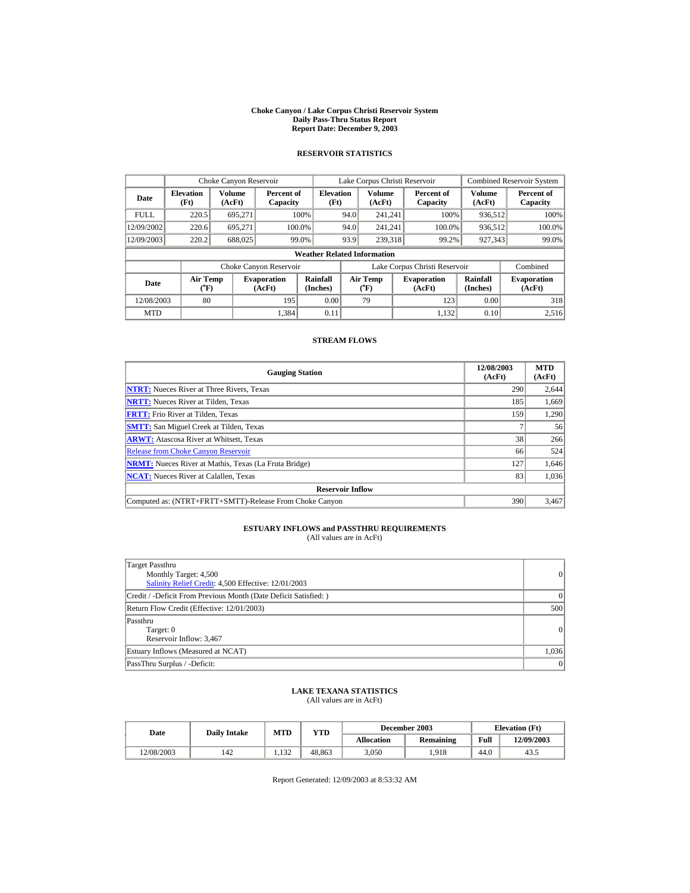#### **Choke Canyon / Lake Corpus Christi Reservoir System Daily Pass-Thru Status Report Report Date: December 9, 2003**

## **RESERVOIR STATISTICS**

|             | Choke Canyon Reservoir                |                  |                              |                          | Lake Corpus Christi Reservoir |                                |  |                               |                             | <b>Combined Reservoir System</b> |  |  |
|-------------|---------------------------------------|------------------|------------------------------|--------------------------|-------------------------------|--------------------------------|--|-------------------------------|-----------------------------|----------------------------------|--|--|
| Date        | <b>Elevation</b><br>(Ft)              | Volume<br>(AcFt) | Percent of<br>Capacity       | <b>Elevation</b><br>(Ft) |                               | <b>Volume</b><br>(AcFt)        |  | Percent of<br>Capacity        | <b>Volume</b><br>(AcFt)     | Percent of<br>Capacity           |  |  |
| <b>FULL</b> | 220.5                                 | 695,271          |                              | 100%                     | 94.0                          | 241,241                        |  | 100%                          | 936,512                     | 100%                             |  |  |
| 12/09/2002  | 220.6                                 | 695,271          |                              | 100.0%                   | 94.0                          | 241.241                        |  | 100.0%                        | 936,512                     | 100.0%                           |  |  |
| 12/09/2003  | 220.2                                 | 688,025          |                              | 99.0%                    | 93.9                          | 239.318                        |  | 99.2%                         | 927,343                     | 99.0%                            |  |  |
|             | <b>Weather Related Information</b>    |                  |                              |                          |                               |                                |  |                               |                             |                                  |  |  |
|             |                                       |                  | Choke Canyon Reservoir       |                          |                               |                                |  | Lake Corpus Christi Reservoir |                             | Combined                         |  |  |
| Date        | <b>Air Temp</b><br>$({}^o\mathrm{F})$ |                  | <b>Evaporation</b><br>(AcFt) | Rainfall<br>(Inches)     |                               | Air Temp<br>$({}^o\mathrm{F})$ |  | <b>Evaporation</b><br>(AcFt)  | <b>Rainfall</b><br>(Inches) | <b>Evaporation</b><br>(AcFt)     |  |  |
| 12/08/2003  | 80                                    |                  | 195                          | 0.00                     |                               | 79                             |  | 123                           | 0.00                        | 318                              |  |  |
| <b>MTD</b>  |                                       |                  | 1.384                        | 0.11                     |                               |                                |  | 1.132                         | 0.10                        | 2,516                            |  |  |

### **STREAM FLOWS**

| <b>Gauging Station</b>                                       | 12/08/2003<br>(AcFt) | <b>MTD</b><br>(AcFt) |
|--------------------------------------------------------------|----------------------|----------------------|
| <b>NTRT:</b> Nueces River at Three Rivers, Texas             | 290                  | 2,644                |
| <b>NRTT:</b> Nueces River at Tilden, Texas                   | 185                  | 1,669                |
| <b>FRTT:</b> Frio River at Tilden, Texas                     | 159                  | 1,290                |
| <b>SMTT:</b> San Miguel Creek at Tilden, Texas               |                      | 56                   |
| <b>ARWT:</b> Atascosa River at Whitsett, Texas               | 38                   | 266                  |
| <b>Release from Choke Canyon Reservoir</b>                   | 66                   | 524                  |
| <b>NRMT:</b> Nueces River at Mathis, Texas (La Fruta Bridge) | 127                  | 1,646                |
| <b>NCAT:</b> Nueces River at Calallen, Texas                 | 83                   | 1,036                |
| <b>Reservoir Inflow</b>                                      |                      |                      |
| Computed as: (NTRT+FRTT+SMTT)-Release From Choke Canyon      | 390                  | 3,467                |

# **ESTUARY INFLOWS and PASSTHRU REQUIREMENTS**<br>(All values are in AcFt)

| Target Passthru<br>Monthly Target: 4,500<br>Salinity Relief Credit: 4,500 Effective: 12/01/2003 | $\vert$ 0 |
|-------------------------------------------------------------------------------------------------|-----------|
| Credit / -Deficit From Previous Month (Date Deficit Satisfied:)                                 | $\Omega$  |
| Return Flow Credit (Effective: 12/01/2003)                                                      | 500       |
| Passthru<br>Target: 0<br>Reservoir Inflow: 3,467                                                | 0         |
| Estuary Inflows (Measured at NCAT)                                                              | 1,036     |
| PassThru Surplus / -Deficit:                                                                    | $\vert$ 0 |

# **LAKE TEXANA STATISTICS** (All values are in AcFt)

| Date       | <b>Daily Intake</b> | MTD   | YTD    |            | December 2003 |      | <b>Elevation</b> (Ft) |
|------------|---------------------|-------|--------|------------|---------------|------|-----------------------|
|            |                     |       |        | Allocation | Remaining     | Full | 12/09/2003            |
| 12/08/2003 | 142                 | 1.132 | 48.863 | 3.050      | .918          | 44.0 | 43.5                  |

Report Generated: 12/09/2003 at 8:53:32 AM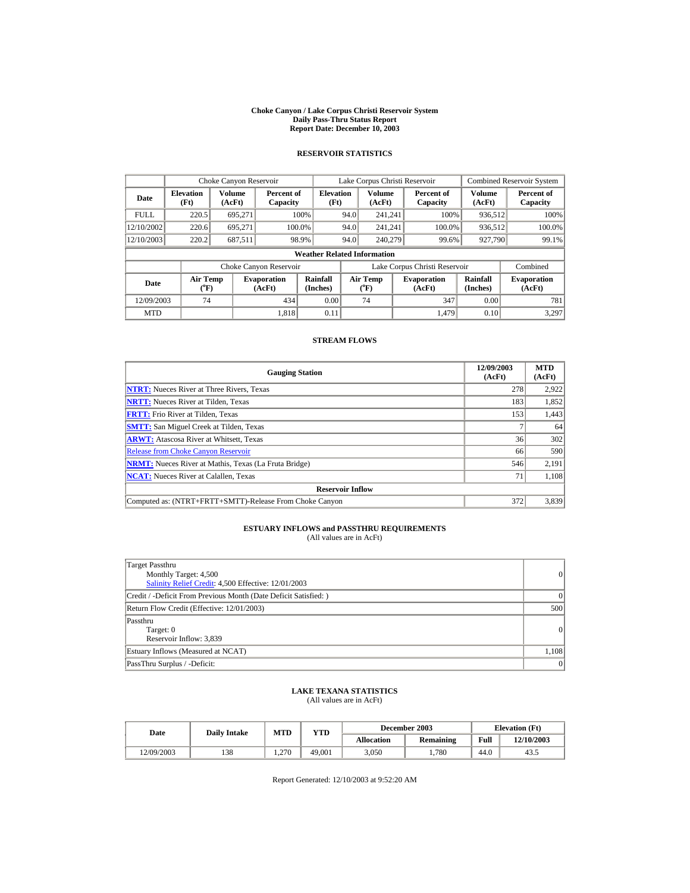#### **Choke Canyon / Lake Corpus Christi Reservoir System Daily Pass-Thru Status Report Report Date: December 10, 2003**

## **RESERVOIR STATISTICS**

|             | Choke Canyon Reservoir                |                  |                              |                                    | Lake Corpus Christi Reservoir |                       |  |                               |                      | <b>Combined Reservoir System</b> |
|-------------|---------------------------------------|------------------|------------------------------|------------------------------------|-------------------------------|-----------------------|--|-------------------------------|----------------------|----------------------------------|
| Date        | <b>Elevation</b><br>(Ft)              | Volume<br>(AcFt) | Percent of<br>Capacity       | <b>Elevation</b><br>(Ft)           |                               | Volume<br>(AcFt)      |  | Percent of<br>Capacity        | Volume<br>(AcFt)     | Percent of<br>Capacity           |
| <b>FULL</b> | 220.5                                 | 695.271          |                              | 100%                               | 94.0                          | 241.241               |  | 100%                          | 936,512              | 100%                             |
| 12/10/2002  | 220.6                                 | 695.271          | 100.0%                       |                                    | 94.0                          | 241.241               |  | 100.0%                        | 936,512              | 100.0%                           |
| 12/10/2003  | 220.2                                 | 687,511          |                              | 98.9%                              | 94.0                          | 240,279               |  | 99.6%                         | 927,790              | 99.1%                            |
|             |                                       |                  |                              | <b>Weather Related Information</b> |                               |                       |  |                               |                      |                                  |
|             |                                       |                  | Choke Canyon Reservoir       |                                    |                               |                       |  | Lake Corpus Christi Reservoir |                      | Combined                         |
| Date        | <b>Air Temp</b><br>$({}^o\mathrm{F})$ |                  | <b>Evaporation</b><br>(AcFt) | Rainfall<br>(Inches)               |                               | Air Temp<br>$(^{o}F)$ |  | <b>Evaporation</b><br>(AcFt)  | Rainfall<br>(Inches) | <b>Evaporation</b><br>(AcFt)     |
| 12/09/2003  | 74                                    |                  | 434                          | 0.00                               |                               | 74                    |  | 347                           | 0.00                 | 781                              |
| <b>MTD</b>  |                                       |                  | 1.818                        | 0.11                               |                               |                       |  | 1.479                         | 0.10                 | 3,297                            |

### **STREAM FLOWS**

| <b>Gauging Station</b>                                       | 12/09/2003<br>(AcFt) | <b>MTD</b><br>(AcFt) |
|--------------------------------------------------------------|----------------------|----------------------|
| <b>NTRT:</b> Nueces River at Three Rivers, Texas             | 278                  | 2,922                |
| <b>NRTT:</b> Nueces River at Tilden, Texas                   | 183                  | 1,852                |
| <b>FRTT:</b> Frio River at Tilden. Texas                     | 153                  | 1,443                |
| <b>SMTT:</b> San Miguel Creek at Tilden, Texas               |                      | 64                   |
| <b>ARWT:</b> Atascosa River at Whitsett, Texas               | 36                   | 302                  |
| <b>Release from Choke Canyon Reservoir</b>                   | 66                   | 590                  |
| <b>NRMT:</b> Nueces River at Mathis, Texas (La Fruta Bridge) | 546                  | 2.191                |
| <b>NCAT:</b> Nueces River at Calallen, Texas                 | 71                   | 1,108                |
| <b>Reservoir Inflow</b>                                      |                      |                      |
| Computed as: (NTRT+FRTT+SMTT)-Release From Choke Canyon      | 372                  | 3,839                |

# **ESTUARY INFLOWS and PASSTHRU REQUIREMENTS**<br>(All values are in AcFt)

| Target Passthru<br>Monthly Target: 4,500<br>Salinity Relief Credit: 4,500 Effective: 12/01/2003 | $\vert$ 0 |
|-------------------------------------------------------------------------------------------------|-----------|
| Credit / -Deficit From Previous Month (Date Deficit Satisfied:)                                 | $\Omega$  |
| Return Flow Credit (Effective: 12/01/2003)                                                      | 500       |
| Passthru<br>Target: 0<br>Reservoir Inflow: 3,839                                                | 0         |
| Estuary Inflows (Measured at NCAT)                                                              | 1,108     |
| PassThru Surplus / -Deficit:                                                                    | $\vert$ 0 |

## **LAKE TEXANA STATISTICS** (All values are in AcFt)

| Date       | <b>Daily Intake</b> | MTD   | YTD    |                   | December 2003 |      | <b>Elevation</b> (Ft) |
|------------|---------------------|-------|--------|-------------------|---------------|------|-----------------------|
|            |                     |       |        | <b>Allocation</b> | Remaining     | Full | 12/10/2003            |
| 12/09/2003 | 138                 | 1.270 | 49.001 | 3.050             | .780          | 44.0 | 43.5                  |

Report Generated: 12/10/2003 at 9:52:20 AM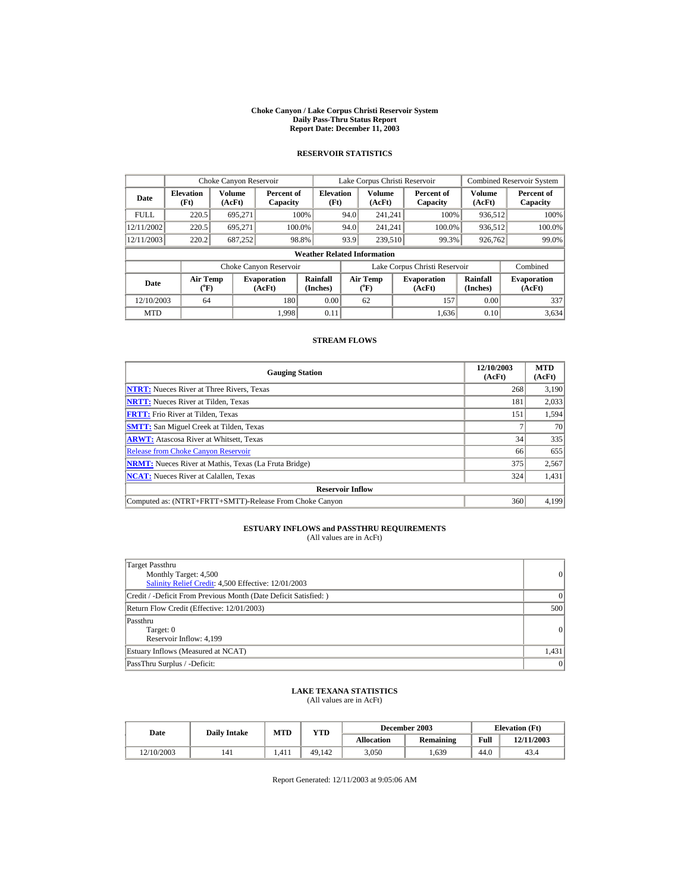#### **Choke Canyon / Lake Corpus Christi Reservoir System Daily Pass-Thru Status Report Report Date: December 11, 2003**

## **RESERVOIR STATISTICS**

|             | Choke Canyon Reservoir                |                  |                              |                                    | Lake Corpus Christi Reservoir |                       |  |                               |                         | <b>Combined Reservoir System</b> |
|-------------|---------------------------------------|------------------|------------------------------|------------------------------------|-------------------------------|-----------------------|--|-------------------------------|-------------------------|----------------------------------|
| Date        | <b>Elevation</b><br>(Ft)              | Volume<br>(AcFt) | Percent of<br>Capacity       | <b>Elevation</b><br>(Ft)           |                               | Volume<br>(AcFt)      |  | Percent of<br>Capacity        | <b>Volume</b><br>(AcFt) | Percent of<br>Capacity           |
| <b>FULL</b> | 220.5                                 | 695.271          |                              | 100%                               | 94.0                          | 241.241               |  | 100%                          | 936,512                 | 100%                             |
| 12/11/2002  | 220.5                                 | 695.271          | 100.0%                       |                                    | 94.0                          | 241.241               |  | 100.0%                        | 936,512                 | 100.0%                           |
| 12/11/2003  | 220.2                                 | 687,252          |                              | 98.8%                              | 93.9                          | 239,510               |  | 99.3%                         | 926,762                 | 99.0%                            |
|             |                                       |                  |                              | <b>Weather Related Information</b> |                               |                       |  |                               |                         |                                  |
|             |                                       |                  | Choke Canyon Reservoir       |                                    |                               |                       |  | Lake Corpus Christi Reservoir |                         | Combined                         |
| Date        | <b>Air Temp</b><br>$({}^o\mathrm{F})$ |                  | <b>Evaporation</b><br>(AcFt) | Rainfall<br>(Inches)               |                               | Air Temp<br>$(^{o}F)$ |  | <b>Evaporation</b><br>(AcFt)  | Rainfall<br>(Inches)    | <b>Evaporation</b><br>(AcFt)     |
| 12/10/2003  | 64                                    |                  | 180                          | 0.00                               |                               | 62                    |  | 157                           | 0.00                    | 337                              |
| <b>MTD</b>  |                                       |                  | 1.998                        | 0.11                               |                               |                       |  | 1.636                         | 0.10                    | 3,634                            |

### **STREAM FLOWS**

| <b>Gauging Station</b>                                       | 12/10/2003<br>(AcFt) | <b>MTD</b><br>(AcFt) |
|--------------------------------------------------------------|----------------------|----------------------|
| <b>NTRT:</b> Nueces River at Three Rivers, Texas             | 268                  | 3.190                |
| <b>NRTT:</b> Nueces River at Tilden, Texas                   | 181                  | 2,033                |
| <b>FRTT:</b> Frio River at Tilden, Texas                     | 151                  | 1,594                |
| <b>SMTT:</b> San Miguel Creek at Tilden, Texas               |                      | 70                   |
| <b>ARWT:</b> Atascosa River at Whitsett, Texas               | 34                   | 335                  |
| <b>Release from Choke Canyon Reservoir</b>                   | 66                   | 655                  |
| <b>NRMT:</b> Nueces River at Mathis, Texas (La Fruta Bridge) | 375                  | 2,567                |
| <b>NCAT:</b> Nueces River at Calallen, Texas                 | 324                  | 1,431                |
| <b>Reservoir Inflow</b>                                      |                      |                      |
| Computed as: (NTRT+FRTT+SMTT)-Release From Choke Canyon      | 360                  | 4.199                |

# **ESTUARY INFLOWS and PASSTHRU REQUIREMENTS**<br>(All values are in AcFt)

| Target Passthru<br>Monthly Target: 4,500<br>Salinity Relief Credit: 4,500 Effective: 12/01/2003 | $\vert$   |
|-------------------------------------------------------------------------------------------------|-----------|
| Credit / -Deficit From Previous Month (Date Deficit Satisfied: )                                | $\Omega$  |
| Return Flow Credit (Effective: 12/01/2003)                                                      | 500       |
| Passthru<br>Target: 0<br>Reservoir Inflow: 4,199                                                | $\vert$ 0 |
| Estuary Inflows (Measured at NCAT)                                                              | 1,431     |
| PassThru Surplus / -Deficit:                                                                    | $\vert$ 0 |

## **LAKE TEXANA STATISTICS** (All values are in AcFt)

| Date       | <b>Daily Intake</b> | <b>MTD</b> | YTD    |            | December 2003 |      | <b>Elevation</b> (Ft) |
|------------|---------------------|------------|--------|------------|---------------|------|-----------------------|
|            |                     |            |        | Allocation | Remaining     | Full | 12/11/2003            |
| 12/10/2003 | 141                 | 1.411      | 49.142 | 3.050      | . . 639       | 44.0 | 43.4                  |

Report Generated: 12/11/2003 at 9:05:06 AM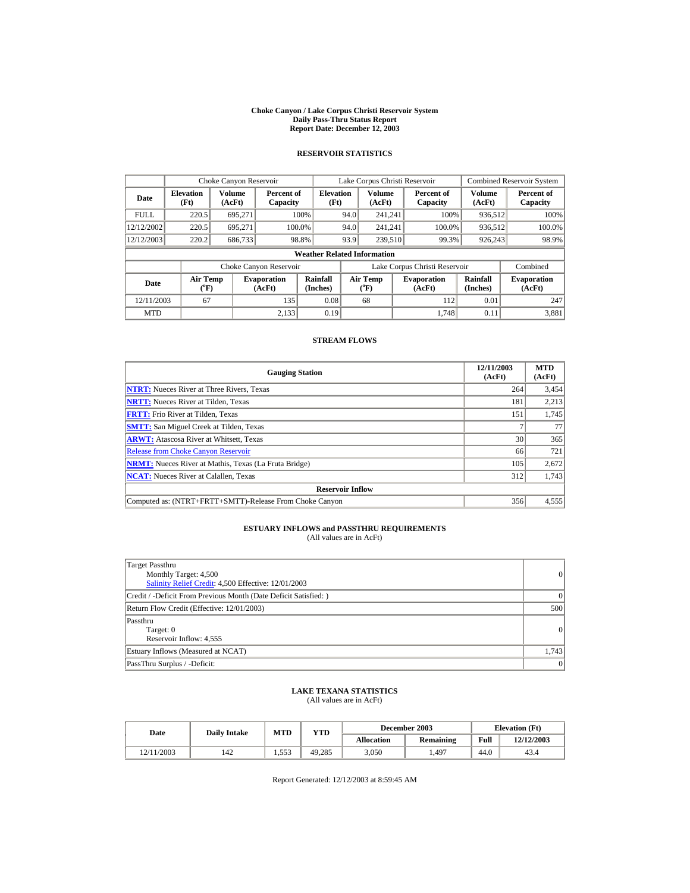#### **Choke Canyon / Lake Corpus Christi Reservoir System Daily Pass-Thru Status Report Report Date: December 12, 2003**

## **RESERVOIR STATISTICS**

|             | Choke Canyon Reservoir                |                         |                              |                                    | Lake Corpus Christi Reservoir |                       |  |                               |                      | <b>Combined Reservoir System</b> |
|-------------|---------------------------------------|-------------------------|------------------------------|------------------------------------|-------------------------------|-----------------------|--|-------------------------------|----------------------|----------------------------------|
| Date        | <b>Elevation</b><br>(Ft)              | <b>Volume</b><br>(AcFt) | Percent of<br>Capacity       | <b>Elevation</b><br>(Ft)           |                               | Volume<br>(AcFt)      |  | Percent of<br>Capacity        | Volume<br>(AcFt)     | Percent of<br>Capacity           |
| <b>FULL</b> | 220.5                                 | 695.271                 |                              | 100%                               | 94.0                          | 241.241               |  | 100%                          | 936,512              | 100%                             |
| 12/12/2002  | 220.5                                 | 695.271                 |                              | 100.0%                             | 94.0                          | 241.241               |  | 100.0%                        | 936,512              | 100.0%                           |
| 12/12/2003  | 220.2                                 | 686,733                 |                              | 98.8%                              | 93.9                          | 239,510               |  | 99.3%                         | 926,243              | 98.9%                            |
|             |                                       |                         |                              | <b>Weather Related Information</b> |                               |                       |  |                               |                      |                                  |
|             |                                       |                         | Choke Canyon Reservoir       |                                    |                               |                       |  | Lake Corpus Christi Reservoir |                      | Combined                         |
| Date        | <b>Air Temp</b><br>$({}^o\mathrm{F})$ |                         | <b>Evaporation</b><br>(AcFt) | Rainfall<br>(Inches)               |                               | Air Temp<br>$(^{o}F)$ |  | <b>Evaporation</b><br>(AcFt)  | Rainfall<br>(Inches) | <b>Evaporation</b><br>(AcFt)     |
| 12/11/2003  | 67                                    |                         | 135                          | 0.08                               |                               | 68                    |  | 112                           | 0.01                 | 247                              |
| <b>MTD</b>  |                                       |                         | 2.133                        | 0.19                               |                               |                       |  | 1.748                         | 0.11                 | 3,881                            |

### **STREAM FLOWS**

| <b>Gauging Station</b>                                       | 12/11/2003<br>(AcFt) | <b>MTD</b><br>(AcFt) |
|--------------------------------------------------------------|----------------------|----------------------|
| <b>NTRT:</b> Nueces River at Three Rivers, Texas             | 264                  | 3,454                |
| <b>NRTT:</b> Nueces River at Tilden, Texas                   | 181                  | 2,213                |
| <b>FRTT:</b> Frio River at Tilden. Texas                     | 151                  | 1,745                |
| <b>SMTT:</b> San Miguel Creek at Tilden, Texas               |                      | 77                   |
| <b>ARWT:</b> Atascosa River at Whitsett, Texas               | 30 <sup>1</sup>      | 365                  |
| <b>Release from Choke Canyon Reservoir</b>                   | 66                   | 721                  |
| <b>NRMT:</b> Nueces River at Mathis, Texas (La Fruta Bridge) | 105                  | 2,672                |
| <b>NCAT:</b> Nueces River at Calallen, Texas                 | 312                  | 1,743                |
| <b>Reservoir Inflow</b>                                      |                      |                      |
| Computed as: (NTRT+FRTT+SMTT)-Release From Choke Canyon      | 356                  | 4,555                |

# **ESTUARY INFLOWS and PASSTHRU REQUIREMENTS**<br>(All values are in AcFt)

| Target Passthru<br>Monthly Target: 4,500<br>Salinity Relief Credit: 4,500 Effective: 12/01/2003 | $\vert$ 0 |
|-------------------------------------------------------------------------------------------------|-----------|
| Credit / -Deficit From Previous Month (Date Deficit Satisfied: )                                | $\Omega$  |
| Return Flow Credit (Effective: 12/01/2003)                                                      | 500       |
| Passthru<br>Target: 0<br>Reservoir Inflow: 4,555                                                | $\vert$ 0 |
| Estuary Inflows (Measured at NCAT)                                                              | 1.743     |
| PassThru Surplus / -Deficit:                                                                    | $\vert$ 0 |

## **LAKE TEXANA STATISTICS** (All values are in AcFt)

| Date       | <b>Daily Intake</b> | <b>MTD</b>   | YTD    |            | December 2003 |      | <b>Elevation</b> (Ft) |
|------------|---------------------|--------------|--------|------------|---------------|------|-----------------------|
|            |                     |              |        | Allocation | Remaining     | Full | 12/12/2003            |
| 12/11/2003 | 142                 | 553<br>1.999 | 49.285 | 3.050      | 497ء          | 44.0 | 43.4                  |

Report Generated: 12/12/2003 at 8:59:45 AM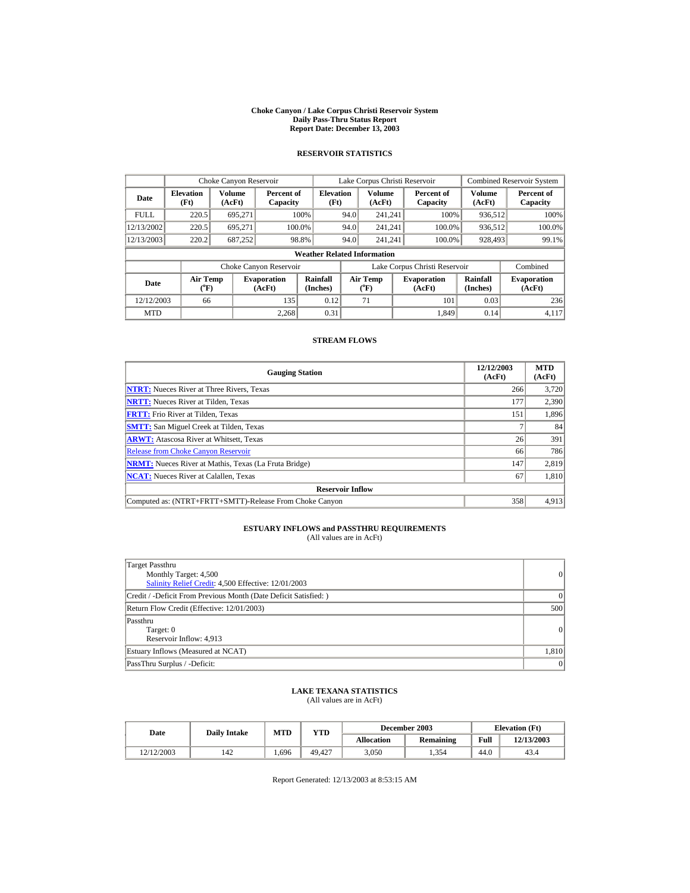#### **Choke Canyon / Lake Corpus Christi Reservoir System Daily Pass-Thru Status Report Report Date: December 13, 2003**

## **RESERVOIR STATISTICS**

|             | Choke Canyon Reservoir             |                                                                                                                                                        |                        |                          | Lake Corpus Christi Reservoir |                         |  |                               |                         | <b>Combined Reservoir System</b> |  |
|-------------|------------------------------------|--------------------------------------------------------------------------------------------------------------------------------------------------------|------------------------|--------------------------|-------------------------------|-------------------------|--|-------------------------------|-------------------------|----------------------------------|--|
| Date        | <b>Elevation</b><br>(Ft)           | Volume<br>(AcFt)                                                                                                                                       | Percent of<br>Capacity | <b>Elevation</b><br>(Ft) |                               | <b>Volume</b><br>(AcFt) |  | Percent of<br>Capacity        | <b>Volume</b><br>(AcFt) | Percent of<br>Capacity           |  |
| <b>FULL</b> | 220.5                              | 695.271                                                                                                                                                |                        | 100%                     | 94.0                          | 241.241                 |  | 100%                          | 936,512                 | 100%                             |  |
| 12/13/2002  | 220.5                              | 695.271                                                                                                                                                |                        | 100.0%                   | 94.0                          | 241.241                 |  | 100.0%                        | 936,512                 | 100.0%                           |  |
| 12/13/2003  | 220.2                              | 687,252                                                                                                                                                |                        | 98.8%                    | 94.0                          | 241.241                 |  | 100.0%                        | 928,493                 | 99.1%                            |  |
|             | <b>Weather Related Information</b> |                                                                                                                                                        |                        |                          |                               |                         |  |                               |                         |                                  |  |
|             |                                    |                                                                                                                                                        | Choke Canyon Reservoir |                          |                               |                         |  | Lake Corpus Christi Reservoir |                         | Combined                         |  |
| <b>Date</b> |                                    | Rainfall<br><b>Air Temp</b><br>Air Temp<br><b>Evaporation</b><br><b>Evaporation</b><br>(Inches)<br>(AcFt)<br>$(^{o}F)$<br>$({}^o\mathrm{F})$<br>(AcFt) |                        | Rainfall<br>(Inches)     | <b>Evaporation</b><br>(AcFt)  |                         |  |                               |                         |                                  |  |
| 12/12/2003  | 66                                 |                                                                                                                                                        | 135                    | 0.12                     |                               | 71                      |  | 101                           | 0.03                    | 236                              |  |
| <b>MTD</b>  |                                    |                                                                                                                                                        | 2.268                  | 0.31                     |                               |                         |  | 1.849                         | 0.14                    | 4,117                            |  |

### **STREAM FLOWS**

| <b>Gauging Station</b>                                       | 12/12/2003<br>(AcFt) | <b>MTD</b><br>(AcFt) |
|--------------------------------------------------------------|----------------------|----------------------|
| <b>NTRT:</b> Nueces River at Three Rivers, Texas             | 266                  | 3.720                |
| <b>NRTT:</b> Nueces River at Tilden, Texas                   | 177                  | 2,390                |
| <b>FRTT:</b> Frio River at Tilden, Texas                     | 151                  | 1,896                |
| <b>SMTT:</b> San Miguel Creek at Tilden, Texas               |                      | 84                   |
| <b>ARWT:</b> Atascosa River at Whitsett, Texas               | 26                   | 391                  |
| <b>Release from Choke Canyon Reservoir</b>                   | 66                   | 786                  |
| <b>NRMT:</b> Nueces River at Mathis, Texas (La Fruta Bridge) | 147                  | 2,819                |
| <b>NCAT:</b> Nueces River at Calallen, Texas                 | 67                   | 1,810                |
| <b>Reservoir Inflow</b>                                      |                      |                      |
| Computed as: (NTRT+FRTT+SMTT)-Release From Choke Canyon      | 358                  | 4,913                |

# **ESTUARY INFLOWS and PASSTHRU REQUIREMENTS**<br>(All values are in AcFt)

| Target Passthru<br>Monthly Target: 4,500<br>Salinity Relief Credit: 4,500 Effective: 12/01/2003 | $\vert$ 0 |
|-------------------------------------------------------------------------------------------------|-----------|
| Credit / -Deficit From Previous Month (Date Deficit Satisfied:)                                 | $\Omega$  |
| Return Flow Credit (Effective: 12/01/2003)                                                      | 500       |
| Passthru<br>Target: 0<br>Reservoir Inflow: 4,913                                                | 0         |
| Estuary Inflows (Measured at NCAT)                                                              | 1,810     |
| PassThru Surplus / -Deficit:                                                                    | $\vert$ 0 |

## **LAKE TEXANA STATISTICS** (All values are in AcFt)

| Date       | <b>Daily Intake</b> | MTD  | YTD    |            | December 2003 |      | <b>Elevation</b> (Ft) |
|------------|---------------------|------|--------|------------|---------------|------|-----------------------|
|            |                     |      |        | Allocation | Remaining     | Full | 12/13/2003            |
| 12/12/2003 | 142                 | .696 | 49.427 | 3.050      | . 354         | 44.0 | 43.4                  |

Report Generated: 12/13/2003 at 8:53:15 AM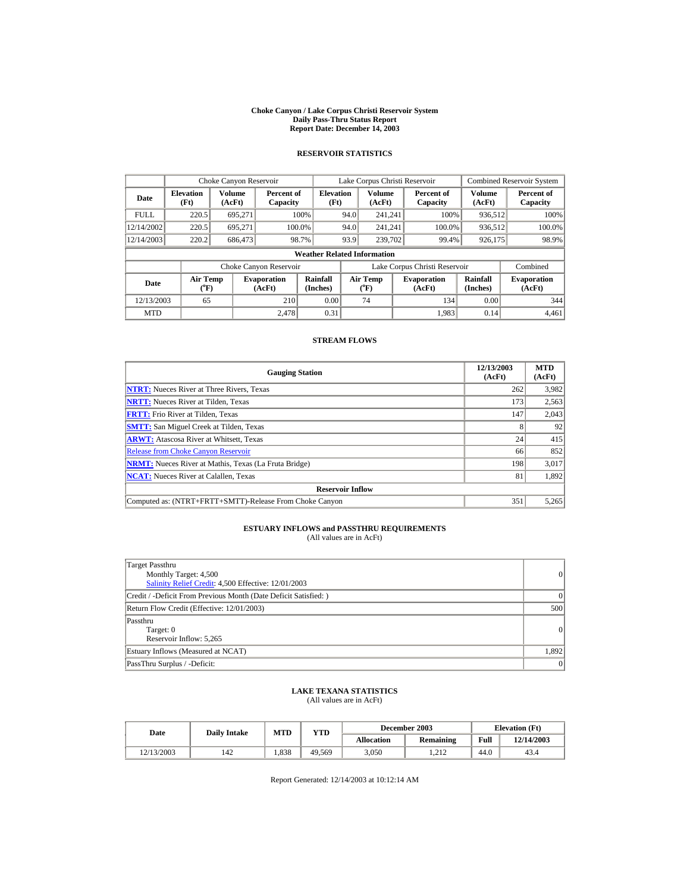#### **Choke Canyon / Lake Corpus Christi Reservoir System Daily Pass-Thru Status Report Report Date: December 14, 2003**

## **RESERVOIR STATISTICS**

|             | Choke Canyon Reservoir   |                                                                                                                                                               |                        |                                    | Lake Corpus Christi Reservoir |                  |  |                               |                         | <b>Combined Reservoir System</b> |
|-------------|--------------------------|---------------------------------------------------------------------------------------------------------------------------------------------------------------|------------------------|------------------------------------|-------------------------------|------------------|--|-------------------------------|-------------------------|----------------------------------|
| Date        | <b>Elevation</b><br>(Ft) | Volume<br>(AcFt)                                                                                                                                              | Percent of<br>Capacity | <b>Elevation</b><br>(Ft)           |                               | Volume<br>(AcFt) |  | Percent of<br>Capacity        | <b>Volume</b><br>(AcFt) | Percent of<br>Capacity           |
| <b>FULL</b> | 220.5                    | 695.271                                                                                                                                                       |                        | 100%                               | 94.0                          | 241.241          |  | 100%                          | 936,512                 | 100%                             |
| 12/14/2002  | 220.5                    | 695.271                                                                                                                                                       | 100.0%                 |                                    | 94.0                          | 241.241          |  | 100.0%                        | 936,512                 | 100.0%                           |
| 12/14/2003  | 220.2                    | 686,473                                                                                                                                                       |                        | 98.7%                              | 93.9                          | 239,702          |  | 99.4%                         | 926,175                 | 98.9%                            |
|             |                          |                                                                                                                                                               |                        | <b>Weather Related Information</b> |                               |                  |  |                               |                         |                                  |
|             |                          |                                                                                                                                                               | Choke Canyon Reservoir |                                    |                               |                  |  | Lake Corpus Christi Reservoir |                         | Combined                         |
| Date        |                          | <b>Rainfall</b><br><b>Air Temp</b><br>Air Temp<br><b>Evaporation</b><br><b>Evaporation</b><br>(Inches)<br>(AcFt)<br>$(^{o}F)$<br>$({}^o\mathrm{F})$<br>(AcFt) |                        | Rainfall<br>(Inches)               | <b>Evaporation</b><br>(AcFt)  |                  |  |                               |                         |                                  |
| 12/13/2003  | 65                       |                                                                                                                                                               | 210                    | 0.00                               |                               | 74               |  | 134                           | 0.00                    | 344                              |
| <b>MTD</b>  |                          |                                                                                                                                                               | 2.478                  | 0.31                               |                               |                  |  | 1,983                         | 0.14                    | 4,461                            |

### **STREAM FLOWS**

| <b>Gauging Station</b>                                       | 12/13/2003<br>(AcFt) | <b>MTD</b><br>(AcFt) |
|--------------------------------------------------------------|----------------------|----------------------|
| <b>NTRT:</b> Nueces River at Three Rivers, Texas             | 262                  | 3,982                |
| <b>NRTT:</b> Nueces River at Tilden, Texas                   | 173                  | 2,563                |
| <b>FRTT:</b> Frio River at Tilden, Texas                     | 147                  | 2,043                |
| <b>SMTT:</b> San Miguel Creek at Tilden, Texas               | 8                    | 92                   |
| <b>ARWT:</b> Atascosa River at Whitsett, Texas               | 24                   | 415                  |
| <b>Release from Choke Canyon Reservoir</b>                   | 66                   | 852                  |
| <b>NRMT:</b> Nueces River at Mathis, Texas (La Fruta Bridge) | 198                  | 3,017                |
| <b>NCAT:</b> Nueces River at Calallen, Texas                 | 81                   | 1,892                |
| <b>Reservoir Inflow</b>                                      |                      |                      |
| Computed as: (NTRT+FRTT+SMTT)-Release From Choke Canyon      | 351                  | 5,265                |

# **ESTUARY INFLOWS and PASSTHRU REQUIREMENTS**<br>(All values are in AcFt)

| Target Passthru<br>Monthly Target: 4,500<br>Salinity Relief Credit: 4,500 Effective: 12/01/2003 | $\vert$ 0 |
|-------------------------------------------------------------------------------------------------|-----------|
| Credit / -Deficit From Previous Month (Date Deficit Satisfied:)                                 | $\Omega$  |
| Return Flow Credit (Effective: 12/01/2003)                                                      | 500       |
| Passthru<br>Target: 0<br>Reservoir Inflow: 5,265                                                | 0         |
| Estuary Inflows (Measured at NCAT)                                                              | 1,892     |
| PassThru Surplus / -Deficit:                                                                    | $\vert$ 0 |

## **LAKE TEXANA STATISTICS** (All values are in AcFt)

| Date       | <b>Daily Intake</b> | MTD  | YTD    |            | December 2003 |      | <b>Elevation</b> (Ft) |
|------------|---------------------|------|--------|------------|---------------|------|-----------------------|
|            |                     |      |        | Allocation | Remaining     | Full | 12/14/2003            |
| 12/13/2003 | 142                 | .838 | 49,569 | 3.050      | .212          | 44.0 | 43.4                  |

Report Generated: 12/14/2003 at 10:12:14 AM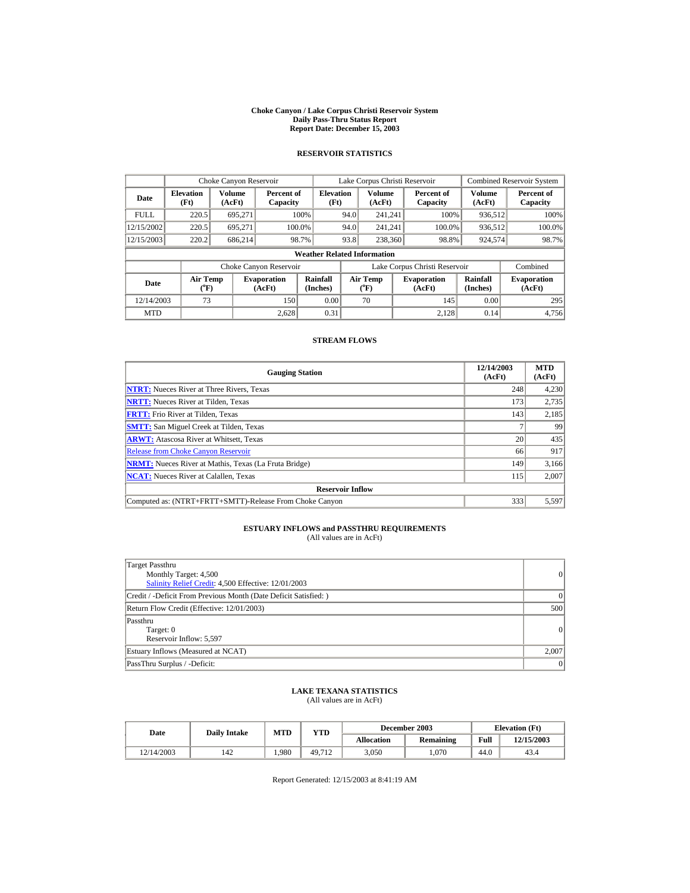#### **Choke Canyon / Lake Corpus Christi Reservoir System Daily Pass-Thru Status Report Report Date: December 15, 2003**

## **RESERVOIR STATISTICS**

|             | Choke Canyon Reservoir                |                  |                              |                                    | Lake Corpus Christi Reservoir |                       |  |                               |                         | <b>Combined Reservoir System</b> |
|-------------|---------------------------------------|------------------|------------------------------|------------------------------------|-------------------------------|-----------------------|--|-------------------------------|-------------------------|----------------------------------|
| Date        | <b>Elevation</b><br>(Ft)              | Volume<br>(AcFt) | Percent of<br>Capacity       | <b>Elevation</b><br>(Ft)           |                               | Volume<br>(AcFt)      |  | Percent of<br>Capacity        | <b>Volume</b><br>(AcFt) | Percent of<br>Capacity           |
| <b>FULL</b> | 220.5                                 | 695.271          |                              | 100%                               | 94.0                          | 241.241               |  | 100%                          | 936,512                 | 100%                             |
| 12/15/2002  | 220.5                                 | 695.271          | 100.0%                       |                                    | 94.0                          | 241,241               |  | 100.0%                        | 936,512                 | 100.0%                           |
| 12/15/2003  | 220.2                                 | 686,214          | 98.7%                        |                                    | 93.8                          | 238,360               |  | 98.8%                         | 924,574                 | 98.7%                            |
|             |                                       |                  |                              | <b>Weather Related Information</b> |                               |                       |  |                               |                         |                                  |
|             |                                       |                  | Choke Canyon Reservoir       |                                    |                               |                       |  | Lake Corpus Christi Reservoir |                         | Combined                         |
| Date        | <b>Air Temp</b><br>$({}^o\mathrm{F})$ |                  | <b>Evaporation</b><br>(AcFt) | Rainfall<br>(Inches)               |                               | Air Temp<br>$(^{o}F)$ |  | <b>Evaporation</b><br>(AcFt)  | Rainfall<br>(Inches)    | <b>Evaporation</b><br>(AcFt)     |
| 12/14/2003  | 73                                    |                  | 150                          | 0.00                               |                               | 70                    |  | 145                           | 0.00                    | 295                              |
| <b>MTD</b>  |                                       |                  | 2.628                        | 0.31                               |                               |                       |  | 2.128                         | 0.14                    | 4,756                            |

### **STREAM FLOWS**

| <b>Gauging Station</b>                                       | 12/14/2003<br>(AcFt) | <b>MTD</b><br>(AcFt) |
|--------------------------------------------------------------|----------------------|----------------------|
| <b>NTRT:</b> Nueces River at Three Rivers, Texas             | 248                  | 4,230                |
| <b>NRTT:</b> Nueces River at Tilden, Texas                   | 173                  | 2,735                |
| <b>FRTT:</b> Frio River at Tilden. Texas                     | 143                  | 2,185                |
| <b>SMTT:</b> San Miguel Creek at Tilden, Texas               |                      | 99                   |
| <b>ARWT:</b> Atascosa River at Whitsett, Texas               | 20                   | 435                  |
| <b>Release from Choke Canyon Reservoir</b>                   | 66                   | 917                  |
| <b>NRMT:</b> Nueces River at Mathis, Texas (La Fruta Bridge) | 149                  | 3,166                |
| <b>NCAT:</b> Nueces River at Calallen, Texas                 | 115                  | 2,007                |
| <b>Reservoir Inflow</b>                                      |                      |                      |
| Computed as: (NTRT+FRTT+SMTT)-Release From Choke Canyon      | 333                  | 5,597                |

# **ESTUARY INFLOWS and PASSTHRU REQUIREMENTS**<br>(All values are in AcFt)

| Target Passthru<br>Monthly Target: 4,500<br>Salinity Relief Credit: 4,500 Effective: 12/01/2003 | $\vert$ 0 |
|-------------------------------------------------------------------------------------------------|-----------|
| Credit / -Deficit From Previous Month (Date Deficit Satisfied:)                                 | $\Omega$  |
| Return Flow Credit (Effective: 12/01/2003)                                                      | 500       |
| Passthru<br>Target: 0<br>Reservoir Inflow: 5,597                                                | 0         |
| Estuary Inflows (Measured at NCAT)                                                              | 2,007     |
| PassThru Surplus / -Deficit:                                                                    | $\vert$ 0 |

## **LAKE TEXANA STATISTICS** (All values are in AcFt)

| Date       | <b>Daily Intake</b> | MTD  | YTD    |            | December 2003 |      | <b>Elevation</b> (Ft) |
|------------|---------------------|------|--------|------------|---------------|------|-----------------------|
|            |                     |      |        | Allocation | Remaining     | Full | 12/15/2003            |
| 12/14/2003 | 142                 | .980 | 49.712 | 3.050      | .070          | 44.0 | 43.4                  |

Report Generated: 12/15/2003 at 8:41:19 AM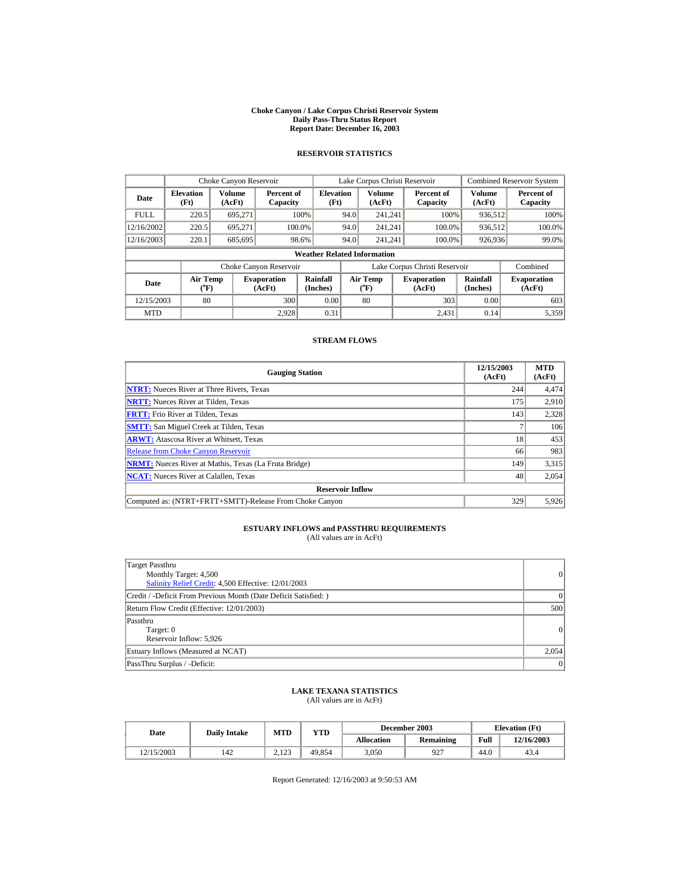#### **Choke Canyon / Lake Corpus Christi Reservoir System Daily Pass-Thru Status Report Report Date: December 16, 2003**

## **RESERVOIR STATISTICS**

|             | Choke Canyon Reservoir                                                                                                                                 |                  |                        |                                    | Lake Corpus Christi Reservoir |                  |  |                               |                         | <b>Combined Reservoir System</b> |
|-------------|--------------------------------------------------------------------------------------------------------------------------------------------------------|------------------|------------------------|------------------------------------|-------------------------------|------------------|--|-------------------------------|-------------------------|----------------------------------|
| Date        | <b>Elevation</b><br>(Ft)                                                                                                                               | Volume<br>(AcFt) | Percent of<br>Capacity | <b>Elevation</b><br>(Ft)           |                               | Volume<br>(AcFt) |  | Percent of<br>Capacity        | <b>Volume</b><br>(AcFt) | Percent of<br>Capacity           |
| <b>FULL</b> | 220.5                                                                                                                                                  | 695.271          |                        | 100%                               | 94.0                          | 241.241          |  | 100%                          | 936,512                 | 100%                             |
| 12/16/2002  | 220.5                                                                                                                                                  | 695.271          | 100.0%                 |                                    | 94.0                          | 241,241          |  | 100.0%                        | 936,512                 | 100.0%                           |
| 12/16/2003  | 220.1                                                                                                                                                  | 685,695          | 98.6%                  |                                    | 94.0                          | 241,241          |  | 100.0%                        | 926,936                 | 99.0%                            |
|             |                                                                                                                                                        |                  |                        | <b>Weather Related Information</b> |                               |                  |  |                               |                         |                                  |
|             |                                                                                                                                                        |                  | Choke Canyon Reservoir |                                    |                               |                  |  | Lake Corpus Christi Reservoir |                         | Combined                         |
| Date        | Rainfall<br><b>Air Temp</b><br>Air Temp<br><b>Evaporation</b><br><b>Evaporation</b><br>(Inches)<br>(AcFt)<br>$({}^o\mathrm{F})$<br>$(^{o}F)$<br>(AcFt) |                  |                        | Rainfall<br>(Inches)               | <b>Evaporation</b><br>(AcFt)  |                  |  |                               |                         |                                  |
| 12/15/2003  | 80                                                                                                                                                     |                  | 300                    | 0.00                               |                               | 80               |  | 303                           | 0.00                    | 603                              |
| <b>MTD</b>  |                                                                                                                                                        |                  | 2.928                  | 0.31                               |                               |                  |  | 2.431                         | 0.14                    | 5,359                            |

### **STREAM FLOWS**

| <b>Gauging Station</b>                                       | 12/15/2003<br>(AcFt) | <b>MTD</b><br>(AcFt) |
|--------------------------------------------------------------|----------------------|----------------------|
| <b>NTRT:</b> Nueces River at Three Rivers, Texas             | 244                  | 4,474                |
| <b>NRTT:</b> Nueces River at Tilden, Texas                   | 175                  | 2,910                |
| <b>FRTT:</b> Frio River at Tilden, Texas                     | 143                  | 2,328                |
| <b>SMTT:</b> San Miguel Creek at Tilden, Texas               |                      | 106                  |
| <b>ARWT:</b> Atascosa River at Whitsett, Texas               | 18                   | 453                  |
| <b>Release from Choke Canyon Reservoir</b>                   | 66                   | 983                  |
| <b>NRMT:</b> Nueces River at Mathis, Texas (La Fruta Bridge) | 149                  | 3,315                |
| <b>NCAT:</b> Nueces River at Calallen, Texas                 | 48                   | 2,054                |
| <b>Reservoir Inflow</b>                                      |                      |                      |
| Computed as: (NTRT+FRTT+SMTT)-Release From Choke Canyon      | 329                  | 5,926                |

# **ESTUARY INFLOWS and PASSTHRU REQUIREMENTS**<br>(All values are in AcFt)

| Target Passthru<br>Monthly Target: 4,500<br>Salinity Relief Credit: 4,500 Effective: 12/01/2003 | $\vert$ 0 |
|-------------------------------------------------------------------------------------------------|-----------|
| Credit / -Deficit From Previous Month (Date Deficit Satisfied: )                                | $\Omega$  |
| Return Flow Credit (Effective: 12/01/2003)                                                      | 500       |
| Passthru<br>Target: 0<br>Reservoir Inflow: 5,926                                                | $\vert$ 0 |
| Estuary Inflows (Measured at NCAT)                                                              | 2,054     |
| PassThru Surplus / -Deficit:                                                                    | $\vert$ 0 |

# **LAKE TEXANA STATISTICS** (All values are in AcFt)

| Date       | <b>Daily Intake</b> | <b>MTD</b>         | YTD    |            | December 2003 |      | <b>Elevation</b> (Ft) |
|------------|---------------------|--------------------|--------|------------|---------------|------|-----------------------|
|            |                     |                    |        | Allocation | Remaining     | Full | 12/16/2003            |
| 12/15/2003 | 142                 | ว 1วว<br>ل که ۱ سا | 49.854 | 3.050      | 927           | 44.0 | 43.4                  |

Report Generated: 12/16/2003 at 9:50:53 AM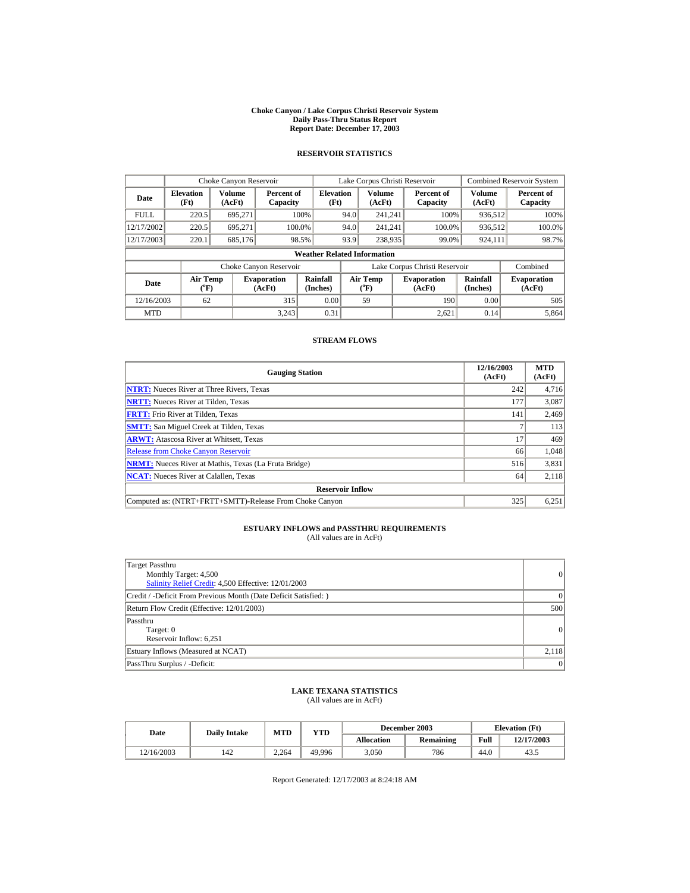#### **Choke Canyon / Lake Corpus Christi Reservoir System Daily Pass-Thru Status Report Report Date: December 17, 2003**

## **RESERVOIR STATISTICS**

|             | Choke Canyon Reservoir   |                                                                                                                                                        |                        |                                    | Lake Corpus Christi Reservoir |                  |  |                               |                  | <b>Combined Reservoir System</b> |
|-------------|--------------------------|--------------------------------------------------------------------------------------------------------------------------------------------------------|------------------------|------------------------------------|-------------------------------|------------------|--|-------------------------------|------------------|----------------------------------|
| Date        | <b>Elevation</b><br>(Ft) | <b>Volume</b><br>(AcFt)                                                                                                                                | Percent of<br>Capacity | <b>Elevation</b><br>(Ft)           |                               | Volume<br>(AcFt) |  | Percent of<br>Capacity        | Volume<br>(AcFt) | Percent of<br>Capacity           |
| <b>FULL</b> | 220.5                    | 695.271                                                                                                                                                |                        | 100%                               | 94.0                          | 241.241          |  | 100%                          | 936,512          | 100%                             |
| 12/17/2002  | 220.5                    | 695,271                                                                                                                                                | 100.0%                 |                                    | 94.0                          | 241.241          |  | 100.0%                        | 936,512          | 100.0%                           |
| 12/17/2003  | 220.1                    | 685,176                                                                                                                                                |                        | 98.5%                              | 93.9                          | 238,935          |  | 99.0%                         | 924,111          | 98.7%                            |
|             |                          |                                                                                                                                                        |                        | <b>Weather Related Information</b> |                               |                  |  |                               |                  |                                  |
|             |                          |                                                                                                                                                        | Choke Canyon Reservoir |                                    |                               |                  |  | Lake Corpus Christi Reservoir |                  | Combined                         |
| Date        |                          | Rainfall<br><b>Air Temp</b><br>Air Temp<br><b>Evaporation</b><br><b>Evaporation</b><br>(Inches)<br>$({}^o\mathrm{F})$<br>$(^{o}F)$<br>(AcFt)<br>(AcFt) |                        | Rainfall<br>(Inches)               | <b>Evaporation</b><br>(AcFt)  |                  |  |                               |                  |                                  |
| 12/16/2003  | 62                       |                                                                                                                                                        | 315                    | 0.00                               |                               | 59               |  | 190                           | 0.00             | 505                              |
| <b>MTD</b>  |                          |                                                                                                                                                        | 3.243                  | 0.31                               |                               |                  |  | 2.621                         | 0.14             | 5,864                            |

### **STREAM FLOWS**

| <b>Gauging Station</b>                                       | 12/16/2003<br>(AcFt) | <b>MTD</b><br>(AcFt) |
|--------------------------------------------------------------|----------------------|----------------------|
| <b>NTRT:</b> Nueces River at Three Rivers, Texas             | 242                  | 4,716                |
| <b>NRTT:</b> Nueces River at Tilden, Texas                   | 177                  | 3,087                |
| <b>FRTT:</b> Frio River at Tilden. Texas                     | 141                  | 2,469                |
| <b>SMTT:</b> San Miguel Creek at Tilden, Texas               |                      | 113                  |
| <b>ARWT:</b> Atascosa River at Whitsett, Texas               | 17                   | 469                  |
| <b>Release from Choke Canyon Reservoir</b>                   | 66                   | 1,048                |
| <b>NRMT:</b> Nueces River at Mathis, Texas (La Fruta Bridge) | 516                  | 3,831                |
| <b>NCAT:</b> Nueces River at Calallen, Texas                 | 64                   | 2,118                |
| <b>Reservoir Inflow</b>                                      |                      |                      |
| Computed as: (NTRT+FRTT+SMTT)-Release From Choke Canyon      | 325                  | 6,251                |

# **ESTUARY INFLOWS and PASSTHRU REQUIREMENTS**<br>(All values are in AcFt)

| Target Passthru<br>Monthly Target: 4,500<br>Salinity Relief Credit: 4,500 Effective: 12/01/2003 | $\vert$ 0 |
|-------------------------------------------------------------------------------------------------|-----------|
| Credit / -Deficit From Previous Month (Date Deficit Satisfied:)                                 | $\Omega$  |
| Return Flow Credit (Effective: 12/01/2003)                                                      | 500       |
| Passthru<br>Target: 0<br>Reservoir Inflow: 6,251                                                | 0         |
| Estuary Inflows (Measured at NCAT)                                                              | 2,118     |
| PassThru Surplus / -Deficit:                                                                    | $\vert$ 0 |

# **LAKE TEXANA STATISTICS** (All values are in AcFt)

| Date       | <b>Daily Intake</b> | MTD   | YTD    |                   | December 2003 |      | <b>Elevation</b> (Ft) |
|------------|---------------------|-------|--------|-------------------|---------------|------|-----------------------|
|            |                     |       |        | <b>Allocation</b> | Remaining     | Full | 12/17/2003            |
| 12/16/2003 | 142                 | 2.264 | 49,996 | 3.050             | 786           | 44.0 | 43.5                  |

Report Generated: 12/17/2003 at 8:24:18 AM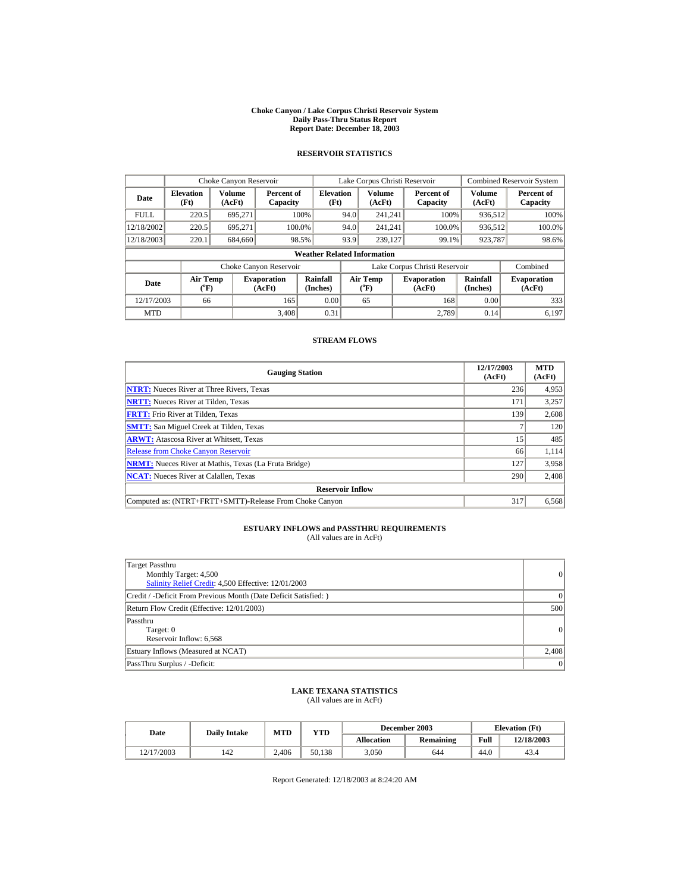#### **Choke Canyon / Lake Corpus Christi Reservoir System Daily Pass-Thru Status Report Report Date: December 18, 2003**

## **RESERVOIR STATISTICS**

|             | Choke Canyon Reservoir                                                                                                           |                  |                        |                          | Lake Corpus Christi Reservoir |                  |  |                               |                         | <b>Combined Reservoir System</b> |  |
|-------------|----------------------------------------------------------------------------------------------------------------------------------|------------------|------------------------|--------------------------|-------------------------------|------------------|--|-------------------------------|-------------------------|----------------------------------|--|
| Date        | <b>Elevation</b><br>(Ft)                                                                                                         | Volume<br>(AcFt) | Percent of<br>Capacity | <b>Elevation</b><br>(Ft) |                               | Volume<br>(AcFt) |  | Percent of<br>Capacity        | <b>Volume</b><br>(AcFt) | Percent of<br>Capacity           |  |
| <b>FULL</b> | 220.5                                                                                                                            | 695.271          |                        | 100%                     | 94.0                          | 241.241          |  | 100%                          | 936,512                 | 100%                             |  |
| 12/18/2002  | 220.5                                                                                                                            | 695.271          |                        | 100.0%                   | 94.0                          | 241.241          |  | 100.0%                        | 936,512                 | 100.0%                           |  |
| 12/18/2003  | 220.1                                                                                                                            | 684,660          |                        | 98.5%                    | 93.9                          | 239,127          |  | 99.1%                         | 923,787                 | 98.6%                            |  |
|             | <b>Weather Related Information</b>                                                                                               |                  |                        |                          |                               |                  |  |                               |                         |                                  |  |
|             |                                                                                                                                  |                  | Choke Canyon Reservoir |                          |                               |                  |  | Lake Corpus Christi Reservoir |                         | Combined                         |  |
| Date        | Rainfall<br><b>Air Temp</b><br>Air Temp<br><b>Evaporation</b><br>(Inches)<br>(AcFt)<br>$(^{o}F)$<br>$({}^o\mathrm{F})$<br>(AcFt) |                  | <b>Evaporation</b>     | Rainfall<br>(Inches)     | <b>Evaporation</b><br>(AcFt)  |                  |  |                               |                         |                                  |  |
| 12/17/2003  | 66                                                                                                                               |                  | 165                    | 0.00                     |                               | 65               |  | 168                           | 0.00                    | 333                              |  |
| <b>MTD</b>  |                                                                                                                                  |                  | 3.408                  | 0.31                     |                               |                  |  | 2.789                         | 0.14                    | 6.197                            |  |

### **STREAM FLOWS**

| <b>Gauging Station</b>                                       | 12/17/2003<br>(AcFt) | <b>MTD</b><br>(AcFt) |
|--------------------------------------------------------------|----------------------|----------------------|
| <b>NTRT:</b> Nueces River at Three Rivers, Texas             | 236                  | 4,953                |
| <b>NRTT:</b> Nueces River at Tilden, Texas                   | 171                  | 3,257                |
| <b>FRTT:</b> Frio River at Tilden. Texas                     | 139                  | 2,608                |
| <b>SMTT:</b> San Miguel Creek at Tilden, Texas               |                      | 120                  |
| <b>ARWT:</b> Atascosa River at Whitsett, Texas               | 15 <sup>1</sup>      | 485                  |
| <b>Release from Choke Canyon Reservoir</b>                   | 66                   | 1,114                |
| <b>NRMT:</b> Nueces River at Mathis, Texas (La Fruta Bridge) | 127                  | 3,958                |
| <b>NCAT:</b> Nueces River at Calallen, Texas                 | 290                  | 2,408                |
| <b>Reservoir Inflow</b>                                      |                      |                      |
| Computed as: (NTRT+FRTT+SMTT)-Release From Choke Canyon      | 317                  | 6,568                |

# **ESTUARY INFLOWS and PASSTHRU REQUIREMENTS**<br>(All values are in AcFt)

| Target Passthru<br>Monthly Target: 4,500<br>Salinity Relief Credit: 4,500 Effective: 12/01/2003 | $\vert$ 0 |
|-------------------------------------------------------------------------------------------------|-----------|
| Credit / -Deficit From Previous Month (Date Deficit Satisfied:)                                 | $\Omega$  |
| Return Flow Credit (Effective: 12/01/2003)                                                      | 500       |
| Passthru<br>Target: 0<br>Reservoir Inflow: 6,568                                                | 0         |
| Estuary Inflows (Measured at NCAT)                                                              | 2,408     |
| PassThru Surplus / -Deficit:                                                                    | $\vert$ 0 |

## **LAKE TEXANA STATISTICS** (All values are in AcFt)

| Date       | <b>Daily Intake</b> | MTD   | YTD    |            | December 2003 |      | <b>Elevation</b> (Ft) |
|------------|---------------------|-------|--------|------------|---------------|------|-----------------------|
|            |                     |       |        | Allocation | Remaining     | Full | 12/18/2003            |
| 12/17/2003 | 142                 | 2.406 | 50.138 | 3.050      | 644           | 44.0 | 43.4                  |

Report Generated: 12/18/2003 at 8:24:20 AM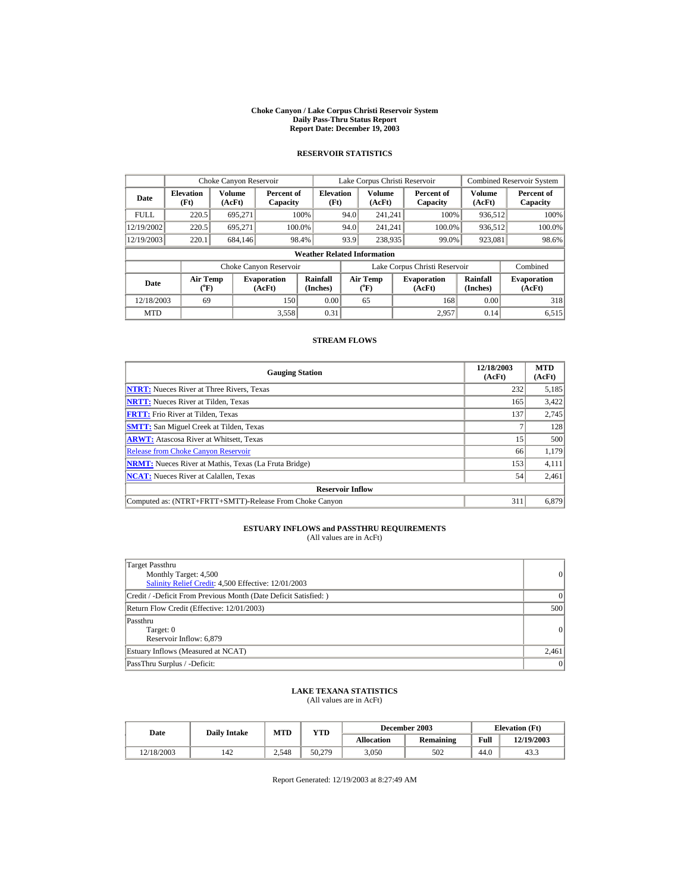#### **Choke Canyon / Lake Corpus Christi Reservoir System Daily Pass-Thru Status Report Report Date: December 19, 2003**

## **RESERVOIR STATISTICS**

|             | Choke Canyon Reservoir             |                                                                                                                                                        |                        |                          | Lake Corpus Christi Reservoir |                  |  |                               |                         | <b>Combined Reservoir System</b> |  |
|-------------|------------------------------------|--------------------------------------------------------------------------------------------------------------------------------------------------------|------------------------|--------------------------|-------------------------------|------------------|--|-------------------------------|-------------------------|----------------------------------|--|
| Date        | <b>Elevation</b><br>(Ft)           | Volume<br>(AcFt)                                                                                                                                       | Percent of<br>Capacity | <b>Elevation</b><br>(Ft) |                               | Volume<br>(AcFt) |  | Percent of<br>Capacity        | <b>Volume</b><br>(AcFt) | Percent of<br>Capacity           |  |
| <b>FULL</b> | 220.5                              | 695.271                                                                                                                                                |                        | 100%                     | 94.0                          | 241.241          |  | 100%                          | 936,512                 | 100%                             |  |
| 12/19/2002  | 220.5                              | 695,271                                                                                                                                                | 100.0%                 |                          | 94.0                          | 241,241          |  | 100.0%                        | 936,512                 | 100.0%                           |  |
| 12/19/2003  | 220.1                              | 684,146                                                                                                                                                | 98.4%                  |                          | 93.9                          | 238,935          |  | 99.0%                         | 923,081                 | 98.6%                            |  |
|             | <b>Weather Related Information</b> |                                                                                                                                                        |                        |                          |                               |                  |  |                               |                         |                                  |  |
|             |                                    |                                                                                                                                                        | Choke Canyon Reservoir |                          |                               |                  |  | Lake Corpus Christi Reservoir |                         | Combined                         |  |
| Date        |                                    | Rainfall<br><b>Air Temp</b><br>Air Temp<br><b>Evaporation</b><br><b>Evaporation</b><br>(Inches)<br>(AcFt)<br>$(^{o}F)$<br>$({}^o\mathrm{F})$<br>(AcFt) |                        | Rainfall<br>(Inches)     | <b>Evaporation</b><br>(AcFt)  |                  |  |                               |                         |                                  |  |
| 12/18/2003  | 69                                 |                                                                                                                                                        | 150                    | 0.00                     |                               | 65               |  | 168                           | 0.00                    | 318                              |  |
| <b>MTD</b>  |                                    |                                                                                                                                                        | 3,558                  | 0.31                     |                               |                  |  | 2.957                         | 0.14                    | 6,515                            |  |

### **STREAM FLOWS**

| <b>Gauging Station</b>                                       | 12/18/2003<br>(AcFt) | <b>MTD</b><br>(AcFt) |
|--------------------------------------------------------------|----------------------|----------------------|
| <b>NTRT:</b> Nueces River at Three Rivers, Texas             | 232                  | 5,185                |
| <b>NRTT:</b> Nueces River at Tilden, Texas                   | 165                  | 3,422                |
| <b>FRTT:</b> Frio River at Tilden. Texas                     | 137                  | 2,745                |
| <b>SMTT:</b> San Miguel Creek at Tilden, Texas               |                      | 128                  |
| <b>ARWT:</b> Atascosa River at Whitsett, Texas               | 15 <sup>1</sup>      | 500                  |
| <b>Release from Choke Canyon Reservoir</b>                   | 66                   | 1,179                |
| <b>NRMT:</b> Nueces River at Mathis, Texas (La Fruta Bridge) | 153                  | 4,111                |
| <b>NCAT:</b> Nueces River at Calallen, Texas                 | 54                   | 2,461                |
| <b>Reservoir Inflow</b>                                      |                      |                      |
| Computed as: (NTRT+FRTT+SMTT)-Release From Choke Canyon      | 311                  | 6,879                |

# **ESTUARY INFLOWS and PASSTHRU REQUIREMENTS**<br>(All values are in AcFt)

| Target Passthru<br>Monthly Target: 4,500<br>Salinity Relief Credit: 4,500 Effective: 12/01/2003 | $\vert$ 0 |
|-------------------------------------------------------------------------------------------------|-----------|
| Credit / -Deficit From Previous Month (Date Deficit Satisfied:)                                 | $\Omega$  |
| Return Flow Credit (Effective: 12/01/2003)                                                      | 500       |
| Passthru<br>Target: 0<br>Reservoir Inflow: 6,879                                                | 0         |
| Estuary Inflows (Measured at NCAT)                                                              | 2,461     |
| PassThru Surplus / -Deficit:                                                                    | $\vert$ 0 |

## **LAKE TEXANA STATISTICS** (All values are in AcFt)

| Date       | <b>Daily Intake</b> | MTD   | $_{\rm VTD}$ |            | December 2003 |      | <b>Elevation</b> (Ft) |
|------------|---------------------|-------|--------------|------------|---------------|------|-----------------------|
|            |                     |       |              | Allocation | Remaining     | Full | 12/19/2003            |
| 12/18/2003 | 142                 | 2,548 | 50.279       | 3.050      | 502           | 44.0 | 43.3                  |

Report Generated: 12/19/2003 at 8:27:49 AM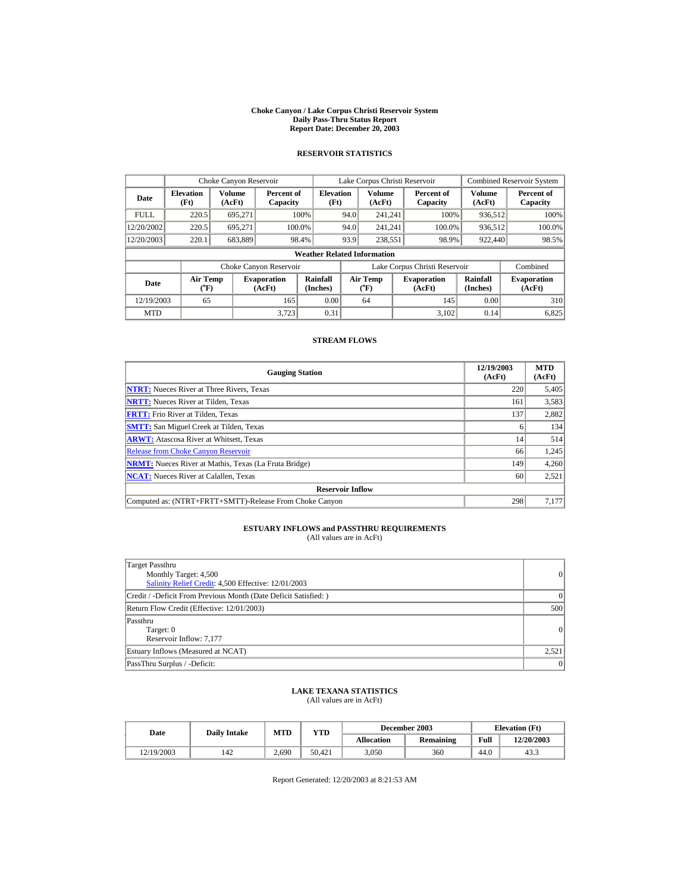#### **Choke Canyon / Lake Corpus Christi Reservoir System Daily Pass-Thru Status Report Report Date: December 20, 2003**

## **RESERVOIR STATISTICS**

|             | Choke Canyon Reservoir                |                                                                                                               |                        |                          | Lake Corpus Christi Reservoir |                         |  |                               |                         | <b>Combined Reservoir System</b> |  |
|-------------|---------------------------------------|---------------------------------------------------------------------------------------------------------------|------------------------|--------------------------|-------------------------------|-------------------------|--|-------------------------------|-------------------------|----------------------------------|--|
| Date        | <b>Elevation</b><br>(Ft)              | Volume<br>(AcFt)                                                                                              | Percent of<br>Capacity | <b>Elevation</b><br>(Ft) |                               | <b>Volume</b><br>(AcFt) |  | Percent of<br>Capacity        | <b>Volume</b><br>(AcFt) | Percent of<br>Capacity           |  |
| <b>FULL</b> | 220.5                                 | 695.271                                                                                                       |                        | 100%                     | 94.0                          | 241.241                 |  | 100%                          | 936,512                 | 100%                             |  |
| 12/20/2002  | 220.5                                 | 695.271                                                                                                       | 100.0%                 |                          | 94.0                          | 241,241                 |  | 100.0%                        | 936,512                 | 100.0%                           |  |
| 12/20/2003  | 220.1                                 | 683,889                                                                                                       |                        | 98.4%                    | 93.9                          | 238,551                 |  | 98.9%                         | 922,440                 | 98.5%                            |  |
|             | <b>Weather Related Information</b>    |                                                                                                               |                        |                          |                               |                         |  |                               |                         |                                  |  |
|             |                                       |                                                                                                               | Choke Canyon Reservoir |                          |                               |                         |  | Lake Corpus Christi Reservoir |                         | Combined                         |  |
| Date        | <b>Air Temp</b><br>$({}^o\mathrm{F})$ | Rainfall<br>Air Temp<br><b>Evaporation</b><br><b>Evaporation</b><br>(Inches)<br>(AcFt)<br>$(^{o}F)$<br>(AcFt) |                        | Rainfall<br>(Inches)     | <b>Evaporation</b><br>(AcFt)  |                         |  |                               |                         |                                  |  |
| 12/19/2003  | 65                                    |                                                                                                               | 165                    | 0.00                     |                               | 64                      |  | 145                           | 0.00                    | 310                              |  |
| <b>MTD</b>  |                                       |                                                                                                               | 3.723                  | 0.31                     |                               |                         |  | 3.102                         | 0.14                    | 6,825                            |  |

### **STREAM FLOWS**

| <b>Gauging Station</b>                                       | 12/19/2003<br>(AcFt) | <b>MTD</b><br>(AcFt) |
|--------------------------------------------------------------|----------------------|----------------------|
| <b>NTRT:</b> Nueces River at Three Rivers, Texas             | 220                  | 5,405                |
| <b>NRTT:</b> Nueces River at Tilden, Texas                   | 161                  | 3,583                |
| <b>FRTT:</b> Frio River at Tilden. Texas                     | 137                  | 2,882                |
| <b>SMTT:</b> San Miguel Creek at Tilden, Texas               | 6                    | 134                  |
| <b>ARWT:</b> Atascosa River at Whitsett, Texas               | 14                   | 514                  |
| <b>Release from Choke Canyon Reservoir</b>                   | 66                   | 1,245                |
| <b>NRMT:</b> Nueces River at Mathis, Texas (La Fruta Bridge) | 149                  | 4,260                |
| <b>NCAT:</b> Nueces River at Calallen, Texas                 | 60                   | 2,521                |
| <b>Reservoir Inflow</b>                                      |                      |                      |
| Computed as: (NTRT+FRTT+SMTT)-Release From Choke Canyon      | 298                  | 7,177                |

# **ESTUARY INFLOWS and PASSTHRU REQUIREMENTS**<br>(All values are in AcFt)

| Target Passthru<br>Monthly Target: 4,500<br>Salinity Relief Credit: 4,500 Effective: 12/01/2003 | $\vert$ 0 |
|-------------------------------------------------------------------------------------------------|-----------|
| Credit / -Deficit From Previous Month (Date Deficit Satisfied:)                                 | $\Omega$  |
| Return Flow Credit (Effective: 12/01/2003)                                                      | 500       |
| Passthru<br>Target: 0<br>Reservoir Inflow: 7,177                                                | 0         |
| Estuary Inflows (Measured at NCAT)                                                              | 2,521     |
| PassThru Surplus / -Deficit:                                                                    | $\vert$ 0 |

## **LAKE TEXANA STATISTICS** (All values are in AcFt)

| Date       | <b>Daily Intake</b> | MTD   | YTD    |                   | December 2003 |      | <b>Elevation</b> (Ft) |
|------------|---------------------|-------|--------|-------------------|---------------|------|-----------------------|
|            |                     |       |        | <b>Allocation</b> | Remaining     | Full | 12/20/2003            |
| 12/19/2003 | 142                 | 2,690 | 50.421 | 3.050             | 360           | 44.0 | 43.3                  |

Report Generated: 12/20/2003 at 8:21:53 AM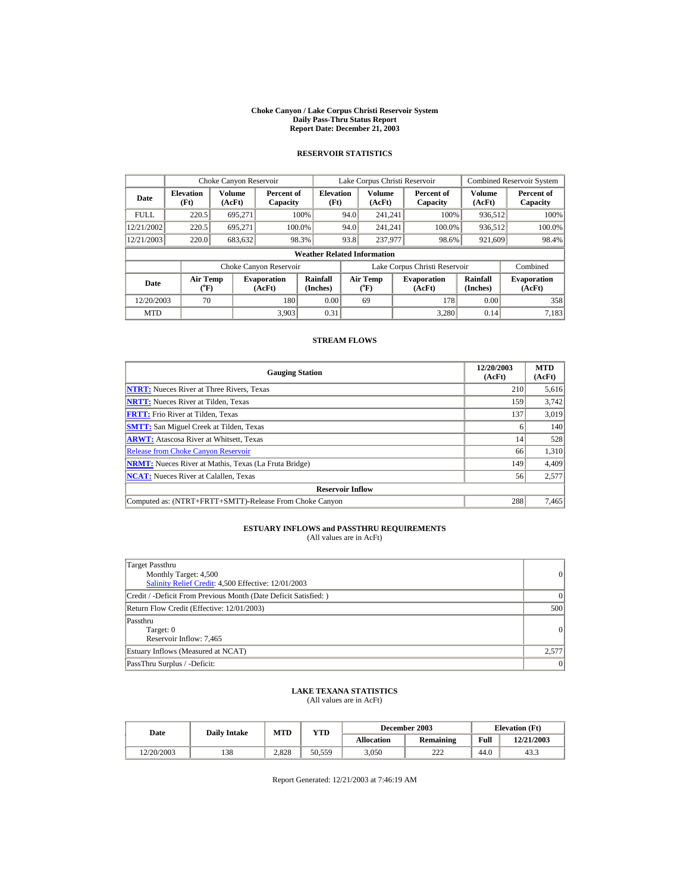#### **Choke Canyon / Lake Corpus Christi Reservoir System Daily Pass-Thru Status Report Report Date: December 21, 2003**

## **RESERVOIR STATISTICS**

|             | Choke Canyon Reservoir                |                         |                              |                          | Lake Corpus Christi Reservoir |                       |  |                               |                         | <b>Combined Reservoir System</b> |  |
|-------------|---------------------------------------|-------------------------|------------------------------|--------------------------|-------------------------------|-----------------------|--|-------------------------------|-------------------------|----------------------------------|--|
| Date        | <b>Elevation</b><br>(Ft)              | <b>Volume</b><br>(AcFt) | Percent of<br>Capacity       | <b>Elevation</b><br>(Ft) |                               | Volume<br>(AcFt)      |  | Percent of<br>Capacity        | <b>Volume</b><br>(AcFt) | Percent of<br>Capacity           |  |
| <b>FULL</b> | 220.5                                 | 695.271                 |                              | 100%                     | 94.0                          | 241.241               |  | 100%                          | 936,512                 | 100%                             |  |
| 12/21/2002  | 220.5                                 | 695.271                 | 100.0%                       |                          | 94.0                          | 241,241               |  | 100.0%                        | 936,512                 | 100.0%                           |  |
| 12/21/2003  | 220.0                                 | 683,632                 |                              | 98.3%                    | 93.8                          | 237,977               |  | 98.6%                         | 921,609                 | 98.4%                            |  |
|             | <b>Weather Related Information</b>    |                         |                              |                          |                               |                       |  |                               |                         |                                  |  |
|             |                                       |                         | Choke Canyon Reservoir       |                          |                               |                       |  | Lake Corpus Christi Reservoir |                         | Combined                         |  |
| Date        | <b>Air Temp</b><br>$({}^o\mathrm{F})$ |                         | <b>Evaporation</b><br>(AcFt) | Rainfall<br>(Inches)     |                               | Air Temp<br>$(^{o}F)$ |  | <b>Evaporation</b><br>(AcFt)  | Rainfall<br>(Inches)    | <b>Evaporation</b><br>(AcFt)     |  |
| 12/20/2003  | 70                                    |                         | 180                          | 0.00                     |                               | 69                    |  | 178                           | 0.00                    | 358                              |  |
| <b>MTD</b>  |                                       |                         | 3,903                        | 0.31                     |                               |                       |  | 3.280                         | 0.14                    | 7,183                            |  |

### **STREAM FLOWS**

| <b>Gauging Station</b>                                       | 12/20/2003<br>(AcFt) | <b>MTD</b><br>(AcFt) |
|--------------------------------------------------------------|----------------------|----------------------|
| <b>NTRT:</b> Nueces River at Three Rivers, Texas             | 210                  | 5,616                |
| <b>NRTT:</b> Nueces River at Tilden, Texas                   | 159                  | 3,742                |
| <b>FRTT:</b> Frio River at Tilden. Texas                     | 137                  | 3,019                |
| <b>SMTT:</b> San Miguel Creek at Tilden, Texas               | <sub>0</sub>         | 140                  |
| <b>ARWT:</b> Atascosa River at Whitsett, Texas               | 14                   | 528                  |
| <b>Release from Choke Canyon Reservoir</b>                   | 66                   | 1,310                |
| <b>NRMT:</b> Nueces River at Mathis, Texas (La Fruta Bridge) | 149                  | 4.409                |
| <b>NCAT:</b> Nueces River at Calallen, Texas                 | 56                   | 2,577                |
| <b>Reservoir Inflow</b>                                      |                      |                      |
| Computed as: (NTRT+FRTT+SMTT)-Release From Choke Canyon      | 288                  | 7,465                |

# **ESTUARY INFLOWS and PASSTHRU REQUIREMENTS**<br>(All values are in AcFt)

| Target Passthru<br>Monthly Target: 4,500<br>Salinity Relief Credit: 4,500 Effective: 12/01/2003 | $\vert$ 0 |
|-------------------------------------------------------------------------------------------------|-----------|
| Credit / -Deficit From Previous Month (Date Deficit Satisfied:)                                 | $\Omega$  |
| Return Flow Credit (Effective: 12/01/2003)                                                      | 500       |
| Passthru<br>Target: 0<br>Reservoir Inflow: 7,465                                                | 0         |
| Estuary Inflows (Measured at NCAT)                                                              | 2,577     |
| PassThru Surplus / -Deficit:                                                                    | $\vert$ 0 |

## **LAKE TEXANA STATISTICS** (All values are in AcFt)

| Date       | <b>Daily Intake</b> | MTD   | YTD    |            | December 2003 |      | <b>Elevation</b> (Ft) |
|------------|---------------------|-------|--------|------------|---------------|------|-----------------------|
|            |                     |       |        | Allocation | Remaining     | Full | 12/21/2003            |
| 12/20/2003 | 138                 | 2.828 | 50.559 | 3.050      | 222           | 44.0 | 43.3                  |

Report Generated: 12/21/2003 at 7:46:19 AM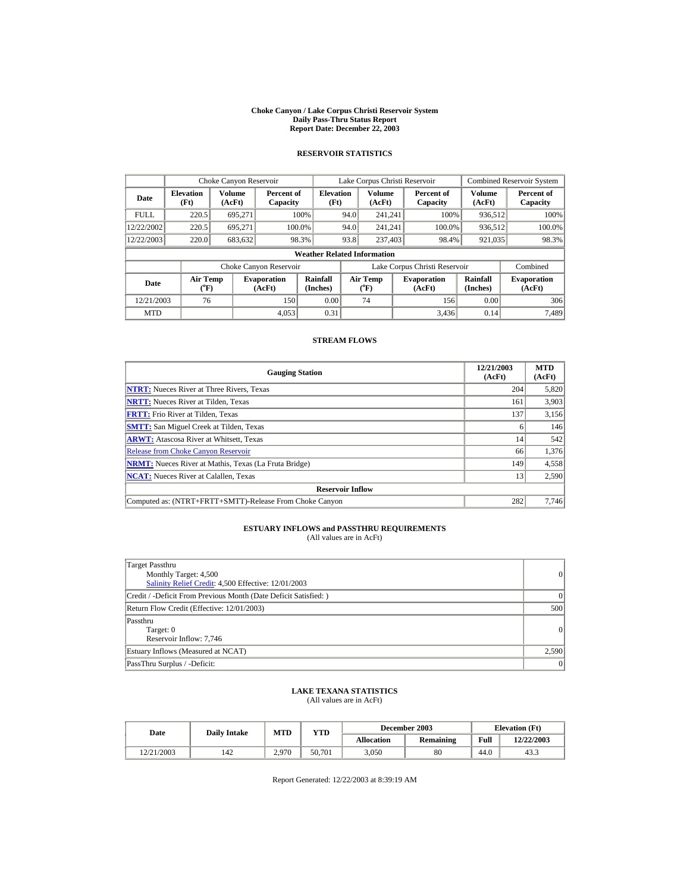#### **Choke Canyon / Lake Corpus Christi Reservoir System Daily Pass-Thru Status Report Report Date: December 22, 2003**

## **RESERVOIR STATISTICS**

|             | Choke Canyon Reservoir                |                  |                              |                                    | Lake Corpus Christi Reservoir |                       |  |                               |                      | <b>Combined Reservoir System</b> |
|-------------|---------------------------------------|------------------|------------------------------|------------------------------------|-------------------------------|-----------------------|--|-------------------------------|----------------------|----------------------------------|
| Date        | <b>Elevation</b><br>(Ft)              | Volume<br>(AcFt) | Percent of<br>Capacity       | <b>Elevation</b><br>(Ft)           |                               | Volume<br>(AcFt)      |  | Percent of<br>Capacity        | Volume<br>(AcFt)     | Percent of<br>Capacity           |
| <b>FULL</b> | 220.5                                 | 695.271          |                              | 100%                               | 94.0                          | 241.241               |  | 100%                          | 936,512              | 100%                             |
| 12/22/2002  | 220.5                                 | 695,271          | 100.0%                       |                                    | 94.0                          | 241.241               |  | 100.0%                        | 936,512              | 100.0%                           |
| 12/22/2003  | 220.0                                 | 683,632          |                              | 98.3%                              | 93.8                          | 237,403               |  | 98.4%                         | 921,035              | 98.3%                            |
|             |                                       |                  |                              | <b>Weather Related Information</b> |                               |                       |  |                               |                      |                                  |
|             |                                       |                  | Choke Canyon Reservoir       |                                    |                               |                       |  | Lake Corpus Christi Reservoir |                      | Combined                         |
| Date        | <b>Air Temp</b><br>$({}^o\mathrm{F})$ |                  | <b>Evaporation</b><br>(AcFt) | Rainfall<br>(Inches)               |                               | Air Temp<br>$(^{o}F)$ |  | <b>Evaporation</b><br>(AcFt)  | Rainfall<br>(Inches) | <b>Evaporation</b><br>(AcFt)     |
| 12/21/2003  | 76                                    |                  | 150                          | 0.00                               |                               | 74                    |  | 156                           | 0.00                 | 306                              |
| <b>MTD</b>  |                                       |                  | 4,053                        | 0.31                               |                               |                       |  | 3,436                         | 0.14                 | 7,489                            |

### **STREAM FLOWS**

| <b>Gauging Station</b>                                       | 12/21/2003<br>(AcFt) | <b>MTD</b><br>(AcFt) |
|--------------------------------------------------------------|----------------------|----------------------|
| <b>NTRT:</b> Nueces River at Three Rivers, Texas             | 204                  | 5,820                |
| <b>NRTT:</b> Nueces River at Tilden, Texas                   | 161                  | 3,903                |
| <b>FRTT:</b> Frio River at Tilden, Texas                     | 137                  | 3,156                |
| <b>SMTT:</b> San Miguel Creek at Tilden, Texas               | 6                    | 146                  |
| <b>ARWT:</b> Atascosa River at Whitsett, Texas               | 14                   | 542                  |
| <b>Release from Choke Canyon Reservoir</b>                   | 66                   | 1,376                |
| <b>NRMT:</b> Nueces River at Mathis, Texas (La Fruta Bridge) | 149                  | 4,558                |
| <b>NCAT:</b> Nueces River at Calallen, Texas                 | 13                   | 2,590                |
| <b>Reservoir Inflow</b>                                      |                      |                      |
| Computed as: (NTRT+FRTT+SMTT)-Release From Choke Canyon      | 282                  | 7,746                |

# **ESTUARY INFLOWS and PASSTHRU REQUIREMENTS**<br>(All values are in AcFt)

| Target Passthru<br>Monthly Target: 4,500<br>Salinity Relief Credit: 4,500 Effective: 12/01/2003 | $\vert$ 0 |
|-------------------------------------------------------------------------------------------------|-----------|
| Credit / -Deficit From Previous Month (Date Deficit Satisfied:)                                 | $\Omega$  |
| Return Flow Credit (Effective: 12/01/2003)                                                      | 500       |
| Passthru<br>Target: 0<br>Reservoir Inflow: 7,746                                                | 0         |
| Estuary Inflows (Measured at NCAT)                                                              | 2,590     |
| PassThru Surplus / -Deficit:                                                                    | $\vert$ 0 |

## **LAKE TEXANA STATISTICS** (All values are in AcFt)

| Date       | <b>Daily Intake</b> | MTD   | YTD    |            | December 2003 |      | <b>Elevation</b> (Ft) |
|------------|---------------------|-------|--------|------------|---------------|------|-----------------------|
|            |                     |       |        | Allocation | Remaining     | Full | 12/22/2003            |
| 12/21/2003 | 142                 | 2.970 | 50.701 | 3.050      | 80            | 44.0 | 43.3                  |

Report Generated: 12/22/2003 at 8:39:19 AM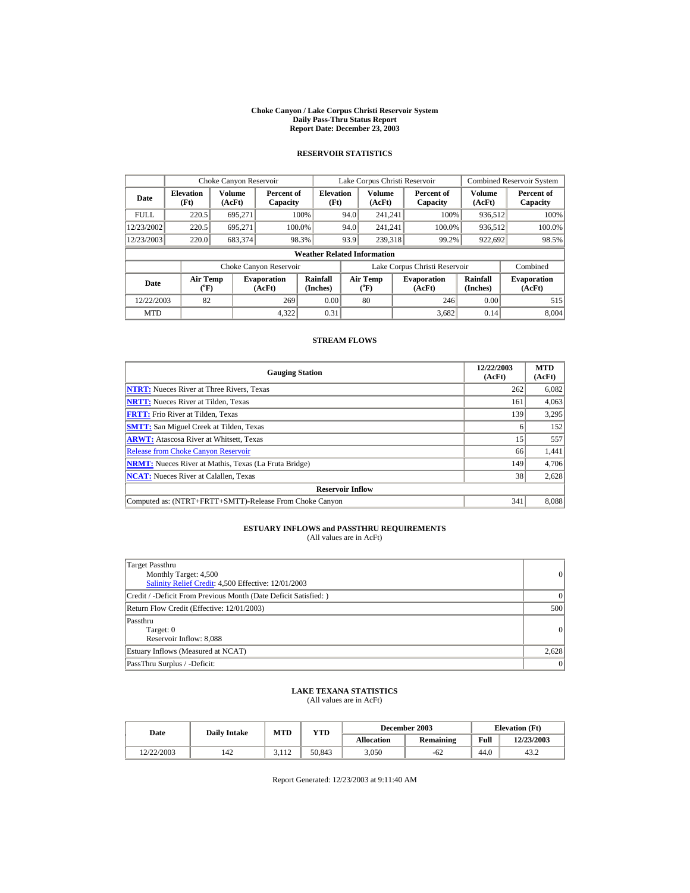#### **Choke Canyon / Lake Corpus Christi Reservoir System Daily Pass-Thru Status Report Report Date: December 23, 2003**

## **RESERVOIR STATISTICS**

|             | Choke Canyon Reservoir             |                                                                                                                                                               |                        |                          | Lake Corpus Christi Reservoir |                  |  |                               |                         | <b>Combined Reservoir System</b> |  |  |
|-------------|------------------------------------|---------------------------------------------------------------------------------------------------------------------------------------------------------------|------------------------|--------------------------|-------------------------------|------------------|--|-------------------------------|-------------------------|----------------------------------|--|--|
| Date        | <b>Elevation</b><br>(Ft)           | Volume<br>(AcFt)                                                                                                                                              | Percent of<br>Capacity | <b>Elevation</b><br>(Ft) |                               | Volume<br>(AcFt) |  | Percent of<br>Capacity        | <b>Volume</b><br>(AcFt) | Percent of<br>Capacity           |  |  |
| <b>FULL</b> | 220.5                              | 695.271                                                                                                                                                       |                        | 100%                     | 94.0                          | 241.241          |  | 100%                          | 936,512                 | 100%                             |  |  |
| 12/23/2002  | 220.5                              | 695.271                                                                                                                                                       |                        | 100.0%                   | 94.0                          | 241.241          |  | 100.0%                        | 936,512                 | 100.0%                           |  |  |
| 12/23/2003  | 220.0                              | 683,374                                                                                                                                                       |                        | 98.3%                    | 93.9                          | 239.318          |  | 99.2%                         | 922,692                 | 98.5%                            |  |  |
|             | <b>Weather Related Information</b> |                                                                                                                                                               |                        |                          |                               |                  |  |                               |                         |                                  |  |  |
|             |                                    |                                                                                                                                                               | Choke Canyon Reservoir |                          |                               |                  |  | Lake Corpus Christi Reservoir |                         | Combined                         |  |  |
| Date        |                                    | <b>Rainfall</b><br><b>Air Temp</b><br>Air Temp<br><b>Evaporation</b><br><b>Evaporation</b><br>(Inches)<br>(AcFt)<br>$(^{o}F)$<br>$({}^o\mathrm{F})$<br>(AcFt) |                        | Rainfall<br>(Inches)     | <b>Evaporation</b><br>(AcFt)  |                  |  |                               |                         |                                  |  |  |
| 12/22/2003  | 82                                 |                                                                                                                                                               | 269                    | 0.00                     |                               | 80               |  | 246                           | 0.00                    | 515                              |  |  |
| <b>MTD</b>  |                                    |                                                                                                                                                               | 4.322                  | 0.31                     |                               |                  |  | 3.682                         | 0.14                    | 8,004                            |  |  |

### **STREAM FLOWS**

| <b>Gauging Station</b>                                       | 12/22/2003<br>(AcFt) | <b>MTD</b><br>(AcFt) |
|--------------------------------------------------------------|----------------------|----------------------|
| <b>NTRT:</b> Nueces River at Three Rivers, Texas             | 262                  | 6,082                |
| <b>NRTT:</b> Nueces River at Tilden, Texas                   | 161                  | 4,063                |
| <b>FRTT:</b> Frio River at Tilden. Texas                     | 139                  | 3,295                |
| <b>SMTT:</b> San Miguel Creek at Tilden, Texas               | 6                    | 152                  |
| <b>ARWT:</b> Atascosa River at Whitsett, Texas               | 15 <sup>1</sup>      | 557                  |
| <b>Release from Choke Canyon Reservoir</b>                   | 66                   | 1,441                |
| <b>NRMT:</b> Nueces River at Mathis, Texas (La Fruta Bridge) | 149                  | 4.706                |
| <b>NCAT:</b> Nueces River at Calallen, Texas                 | 38                   | 2,628                |
| <b>Reservoir Inflow</b>                                      |                      |                      |
| Computed as: (NTRT+FRTT+SMTT)-Release From Choke Canyon      | 341                  | 8,088                |

# **ESTUARY INFLOWS and PASSTHRU REQUIREMENTS**<br>(All values are in AcFt)

| Target Passthru<br>Monthly Target: 4,500<br>Salinity Relief Credit: 4,500 Effective: 12/01/2003 | $\vert$ 0 |
|-------------------------------------------------------------------------------------------------|-----------|
| Credit / -Deficit From Previous Month (Date Deficit Satisfied:)                                 | $\Omega$  |
| Return Flow Credit (Effective: 12/01/2003)                                                      | 500       |
| Passthru<br>Target: 0<br>Reservoir Inflow: 8,088                                                | 0         |
| Estuary Inflows (Measured at NCAT)                                                              | 2,628     |
| PassThru Surplus / -Deficit:                                                                    | $\vert$ 0 |

# **LAKE TEXANA STATISTICS** (All values are in AcFt)

| Date       | <b>Daily Intake</b> | MTD   | YTD    |            | December 2003 |      | <b>Elevation</b> (Ft) |
|------------|---------------------|-------|--------|------------|---------------|------|-----------------------|
|            |                     |       |        | Allocation | Remaining     | Full | 12/23/2003            |
| 12/22/2003 | 142                 | 3.112 | 50.843 | 3.050      | $-62$         | 44.0 | 43.2                  |

Report Generated: 12/23/2003 at 9:11:40 AM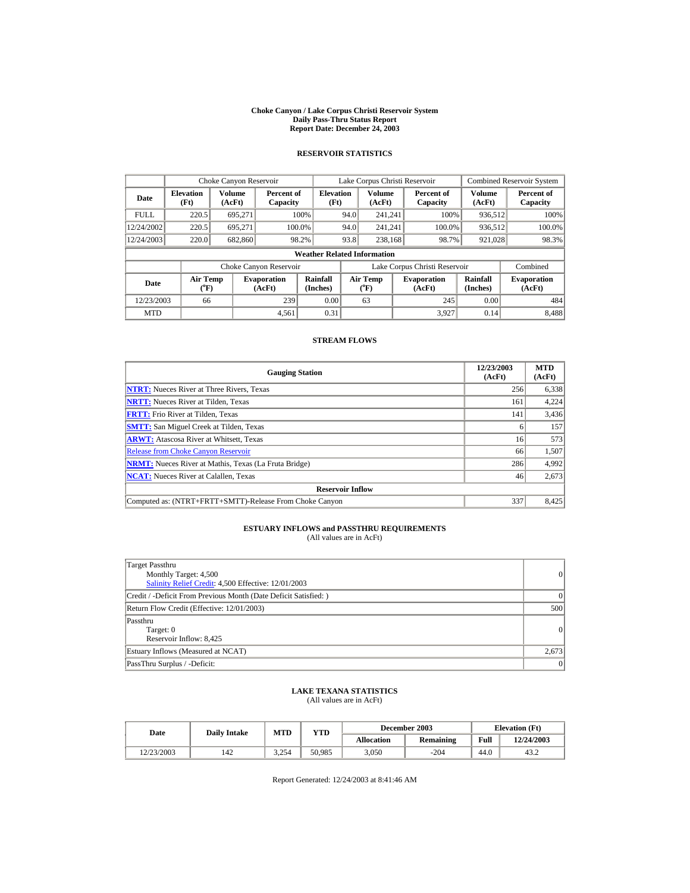#### **Choke Canyon / Lake Corpus Christi Reservoir System Daily Pass-Thru Status Report Report Date: December 24, 2003**

## **RESERVOIR STATISTICS**

|             | Choke Canyon Reservoir             |                                                                                                                                                        |                        |                          | Lake Corpus Christi Reservoir |                  |  |                               |                         | <b>Combined Reservoir System</b> |  |
|-------------|------------------------------------|--------------------------------------------------------------------------------------------------------------------------------------------------------|------------------------|--------------------------|-------------------------------|------------------|--|-------------------------------|-------------------------|----------------------------------|--|
| Date        | <b>Elevation</b><br>(Ft)           | Volume<br>(AcFt)                                                                                                                                       | Percent of<br>Capacity | <b>Elevation</b><br>(Ft) |                               | Volume<br>(AcFt) |  | Percent of<br>Capacity        | <b>Volume</b><br>(AcFt) | Percent of<br>Capacity           |  |
| <b>FULL</b> | 220.5                              | 695.271                                                                                                                                                |                        | 100%                     | 94.0                          | 241.241          |  | 100%                          | 936,512                 | 100%                             |  |
| 12/24/2002  | 220.5                              | 695.271                                                                                                                                                |                        | 100.0%                   | 94.0                          | 241.241          |  | 100.0%                        | 936,512                 | 100.0%                           |  |
| 12/24/2003  | 220.0                              | 682,860                                                                                                                                                |                        | 98.2%                    | 93.8                          | 238,168          |  | 98.7%                         | 921,028                 | 98.3%                            |  |
|             | <b>Weather Related Information</b> |                                                                                                                                                        |                        |                          |                               |                  |  |                               |                         |                                  |  |
|             |                                    |                                                                                                                                                        | Choke Canyon Reservoir |                          |                               |                  |  | Lake Corpus Christi Reservoir |                         | Combined                         |  |
| Date        |                                    | Rainfall<br><b>Air Temp</b><br>Air Temp<br><b>Evaporation</b><br><b>Evaporation</b><br>(Inches)<br>(AcFt)<br>$(^{o}F)$<br>$({}^o\mathrm{F})$<br>(AcFt) |                        | Rainfall<br>(Inches)     | <b>Evaporation</b><br>(AcFt)  |                  |  |                               |                         |                                  |  |
| 12/23/2003  | 66                                 |                                                                                                                                                        | 239                    | 0.00                     |                               | 63               |  | 245                           | 0.00                    | 484                              |  |
| <b>MTD</b>  |                                    |                                                                                                                                                        | 4,561                  | 0.31                     |                               |                  |  | 3.927                         | 0.14                    | 8,488                            |  |

### **STREAM FLOWS**

| <b>Gauging Station</b>                                       | 12/23/2003<br>(AcFt) | <b>MTD</b><br>(AcFt) |
|--------------------------------------------------------------|----------------------|----------------------|
| <b>NTRT:</b> Nueces River at Three Rivers, Texas             | 256                  | 6,338                |
| <b>NRTT:</b> Nueces River at Tilden, Texas                   | 161                  | 4,224                |
| <b>FRTT:</b> Frio River at Tilden. Texas                     | 141                  | 3,436                |
| <b>SMTT:</b> San Miguel Creek at Tilden, Texas               | <sub>0</sub>         | 157                  |
| <b>ARWT:</b> Atascosa River at Whitsett, Texas               | 16                   | 573                  |
| <b>Release from Choke Canyon Reservoir</b>                   | 66                   | 1,507                |
| <b>NRMT:</b> Nueces River at Mathis, Texas (La Fruta Bridge) | 286                  | 4,992                |
| <b>NCAT:</b> Nueces River at Calallen, Texas                 | 46                   | 2,673                |
| <b>Reservoir Inflow</b>                                      |                      |                      |
| Computed as: (NTRT+FRTT+SMTT)-Release From Choke Canyon      | 337                  | 8,425                |

# **ESTUARY INFLOWS and PASSTHRU REQUIREMENTS**<br>(All values are in AcFt)

| Target Passthru<br>Monthly Target: 4,500<br>Salinity Relief Credit: 4,500 Effective: 12/01/2003 | $\vert$ 0 |
|-------------------------------------------------------------------------------------------------|-----------|
| Credit / -Deficit From Previous Month (Date Deficit Satisfied:)                                 | $\Omega$  |
| Return Flow Credit (Effective: 12/01/2003)                                                      | 500       |
| Passthru<br>Target: 0<br>Reservoir Inflow: 8,425                                                | 0         |
| Estuary Inflows (Measured at NCAT)                                                              | 2,673     |
| PassThru Surplus / -Deficit:                                                                    | $\vert$ 0 |

## **LAKE TEXANA STATISTICS** (All values are in AcFt)

| Date       | <b>Daily Intake</b> | MTD   | YTD    |            | December 2003 |      | <b>Elevation</b> (Ft) |
|------------|---------------------|-------|--------|------------|---------------|------|-----------------------|
|            |                     |       |        | Allocation | Remaining     | Full | 12/24/2003            |
| 12/23/2003 | 142                 | 3.254 | 50,985 | 3.050      | -204          | 44.0 | 43.2                  |

Report Generated: 12/24/2003 at 8:41:46 AM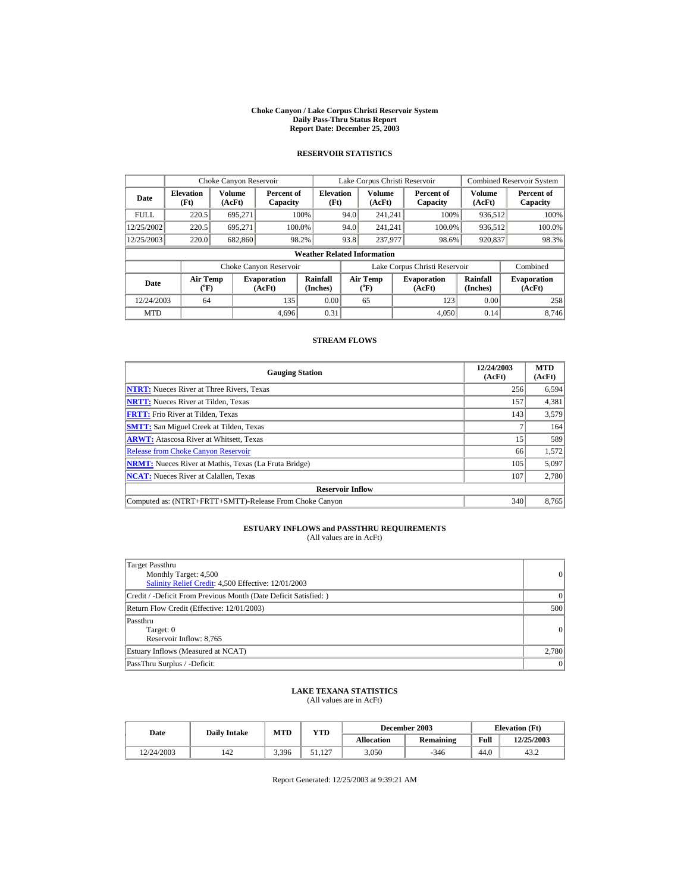#### **Choke Canyon / Lake Corpus Christi Reservoir System Daily Pass-Thru Status Report Report Date: December 25, 2003**

## **RESERVOIR STATISTICS**

|             | Choke Canyon Reservoir                |                         |                              |                                    | Lake Corpus Christi Reservoir |                       |  |                               |                         | <b>Combined Reservoir System</b> |
|-------------|---------------------------------------|-------------------------|------------------------------|------------------------------------|-------------------------------|-----------------------|--|-------------------------------|-------------------------|----------------------------------|
| Date        | <b>Elevation</b><br>(Ft)              | <b>Volume</b><br>(AcFt) | Percent of<br>Capacity       | <b>Elevation</b><br>(Ft)           |                               | Volume<br>(AcFt)      |  | Percent of<br>Capacity        | <b>Volume</b><br>(AcFt) | Percent of<br>Capacity           |
| <b>FULL</b> | 220.5                                 | 695,271                 |                              | 100%                               | 94.0                          | 241.241               |  | 100%                          | 936,512                 | 100%                             |
| 12/25/2002  | 220.5                                 | 695.271                 | 100.0%                       |                                    | 94.0                          | 241,241               |  | 100.0%                        | 936,512                 | 100.0%                           |
| 12/25/2003  | 220.0                                 | 682,860                 |                              | 98.2%                              | 93.8                          | 237,977               |  | 98.6%                         | 920,837                 | 98.3%                            |
|             |                                       |                         |                              | <b>Weather Related Information</b> |                               |                       |  |                               |                         |                                  |
|             |                                       |                         | Choke Canyon Reservoir       |                                    |                               |                       |  | Lake Corpus Christi Reservoir |                         | Combined                         |
| Date        | <b>Air Temp</b><br>$({}^o\mathrm{F})$ |                         | <b>Evaporation</b><br>(AcFt) | Rainfall<br>(Inches)               |                               | Air Temp<br>$(^{o}F)$ |  | <b>Evaporation</b><br>(AcFt)  | Rainfall<br>(Inches)    | <b>Evaporation</b><br>(AcFt)     |
| 12/24/2003  | 64                                    |                         | 135                          | 0.00                               |                               | 65                    |  | 123                           | 0.00                    | 258                              |
| <b>MTD</b>  |                                       |                         | 4.696                        | 0.31                               |                               |                       |  | 4,050                         | 0.14                    | 8.746                            |

### **STREAM FLOWS**

| <b>Gauging Station</b>                                       | 12/24/2003<br>(AcFt) | <b>MTD</b><br>(AcFt) |
|--------------------------------------------------------------|----------------------|----------------------|
| <b>NTRT:</b> Nueces River at Three Rivers, Texas             | 256                  | 6,594                |
| <b>NRTT:</b> Nueces River at Tilden, Texas                   | 157                  | 4,381                |
| <b>FRTT:</b> Frio River at Tilden. Texas                     | 143                  | 3,579                |
| <b>SMTT:</b> San Miguel Creek at Tilden, Texas               |                      | 164                  |
| <b>ARWT:</b> Atascosa River at Whitsett, Texas               | 15                   | 589                  |
| <b>Release from Choke Canyon Reservoir</b>                   | 66                   | 1,572                |
| <b>NRMT:</b> Nueces River at Mathis, Texas (La Fruta Bridge) | 105                  | 5,097                |
| <b>NCAT:</b> Nueces River at Calallen, Texas                 | 107                  | 2,780                |
| <b>Reservoir Inflow</b>                                      |                      |                      |
| Computed as: (NTRT+FRTT+SMTT)-Release From Choke Canyon      | 340                  | 8,765                |

# **ESTUARY INFLOWS and PASSTHRU REQUIREMENTS**<br>(All values are in AcFt)

| Target Passthru<br>Monthly Target: 4,500<br>Salinity Relief Credit: 4,500 Effective: 12/01/2003 | $\vert$ 0 |
|-------------------------------------------------------------------------------------------------|-----------|
| Credit / -Deficit From Previous Month (Date Deficit Satisfied:)                                 | $\Omega$  |
| Return Flow Credit (Effective: 12/01/2003)                                                      | 500       |
| Passthru<br>Target: 0<br>Reservoir Inflow: 8,765                                                | 0         |
| Estuary Inflows (Measured at NCAT)                                                              | 2,780     |
| PassThru Surplus / -Deficit:                                                                    | $\vert$ 0 |

## **LAKE TEXANA STATISTICS** (All values are in AcFt)

| Date       | <b>Daily Intake</b> | MTD   | YTD    |            | December 2003 |      | <b>Elevation</b> (Ft) |
|------------|---------------------|-------|--------|------------|---------------|------|-----------------------|
|            |                     |       |        | Allocation | Remaining     | Full | 12/25/2003            |
| 12/24/2003 | 142                 | 3,396 | 51.127 | 3.050      | $-346$        | 44.0 | 43.2                  |

Report Generated: 12/25/2003 at 9:39:21 AM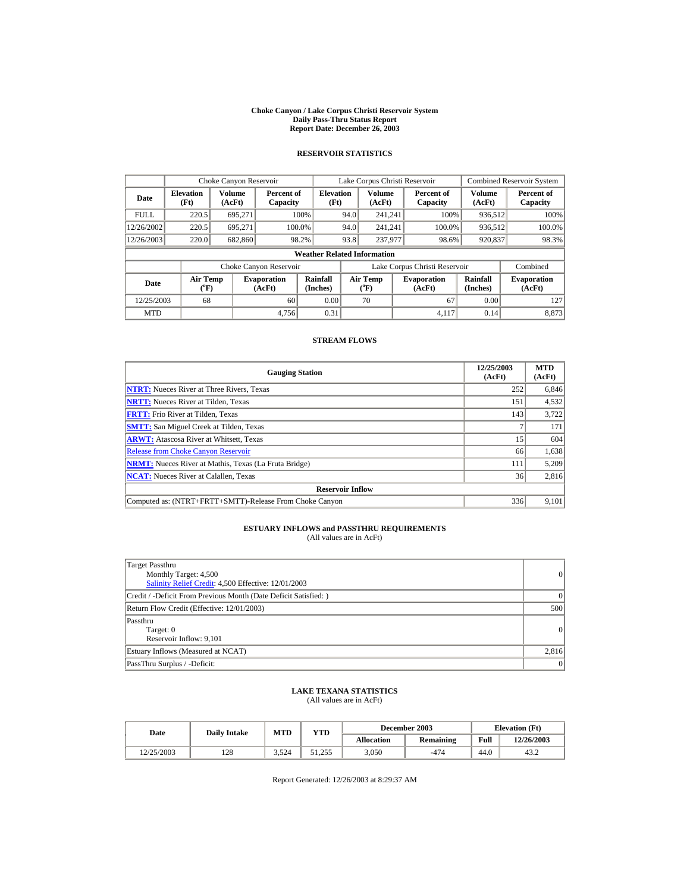#### **Choke Canyon / Lake Corpus Christi Reservoir System Daily Pass-Thru Status Report Report Date: December 26, 2003**

## **RESERVOIR STATISTICS**

|             | Choke Canyon Reservoir                |                  |                              |                                    | Lake Corpus Christi Reservoir |                                |                               |                        |                         | <b>Combined Reservoir System</b> |
|-------------|---------------------------------------|------------------|------------------------------|------------------------------------|-------------------------------|--------------------------------|-------------------------------|------------------------|-------------------------|----------------------------------|
| Date        | <b>Elevation</b><br>(Ft)              | Volume<br>(AcFt) | Percent of<br>Capacity       | <b>Elevation</b><br>(Ft)           |                               | Volume<br>(AcFt)               |                               | Percent of<br>Capacity | <b>Volume</b><br>(AcFt) | Percent of<br>Capacity           |
| <b>FULL</b> | 220.5                                 | 695.271          |                              | 100%                               | 94.0                          | 241.241                        |                               | 100%                   | 936,512                 | 100%                             |
| 12/26/2002  | 220.5                                 | 695.271          |                              | 100.0%                             | 94.0                          | 241.241                        |                               | 100.0%                 | 936,512                 | 100.0%                           |
| 12/26/2003  | 220.0                                 | 682,860          |                              | 98.2%                              | 93.8                          | 237,977                        |                               | 98.6%                  | 920,837                 | 98.3%                            |
|             |                                       |                  |                              | <b>Weather Related Information</b> |                               |                                |                               |                        |                         |                                  |
|             |                                       |                  | Choke Canyon Reservoir       |                                    |                               |                                | Lake Corpus Christi Reservoir |                        |                         | Combined                         |
| Date        | <b>Air Temp</b><br>$({}^o\mathrm{F})$ |                  | <b>Evaporation</b><br>(AcFt) | Rainfall<br>(Inches)               |                               | Air Temp<br>$({}^o\mathrm{F})$ | <b>Evaporation</b><br>(AcFt)  |                        | Rainfall<br>(Inches)    | <b>Evaporation</b><br>(AcFt)     |
| 12/25/2003  | 68                                    |                  | 60                           | 0.00                               |                               | 70                             |                               | 67                     | 0.00                    | 127                              |
| <b>MTD</b>  |                                       |                  | 4.756                        | 0.31                               |                               |                                |                               | 4.117                  | 0.14                    | 8,873                            |

### **STREAM FLOWS**

| <b>Gauging Station</b>                                       | 12/25/2003<br>(AcFt) | <b>MTD</b><br>(AcFt) |
|--------------------------------------------------------------|----------------------|----------------------|
| <b>NTRT:</b> Nueces River at Three Rivers, Texas             | 252                  | 6,846                |
| <b>NRTT:</b> Nueces River at Tilden, Texas                   | 151                  | 4,532                |
| <b>FRTT:</b> Frio River at Tilden. Texas                     | 143                  | 3,722                |
| <b>SMTT:</b> San Miguel Creek at Tilden, Texas               |                      | 171                  |
| <b>ARWT:</b> Atascosa River at Whitsett, Texas               | 15 <sup>1</sup>      | 604                  |
| <b>Release from Choke Canyon Reservoir</b>                   | 66                   | 1,638                |
| <b>NRMT:</b> Nueces River at Mathis, Texas (La Fruta Bridge) | 111                  | 5,209                |
| <b>NCAT:</b> Nueces River at Calallen, Texas                 | 36                   | 2,816                |
| <b>Reservoir Inflow</b>                                      |                      |                      |
| Computed as: (NTRT+FRTT+SMTT)-Release From Choke Canyon      | 336                  | 9,101                |

# **ESTUARY INFLOWS and PASSTHRU REQUIREMENTS**<br>(All values are in AcFt)

| Target Passthru<br>Monthly Target: 4,500<br>Salinity Relief Credit: 4,500 Effective: 12/01/2003 | $\vert$ 0 |
|-------------------------------------------------------------------------------------------------|-----------|
| Credit / -Deficit From Previous Month (Date Deficit Satisfied:)                                 | $\Omega$  |
| Return Flow Credit (Effective: 12/01/2003)                                                      | 500       |
| Passthru<br>Target: 0<br>Reservoir Inflow: 9,101                                                | 0         |
| Estuary Inflows (Measured at NCAT)                                                              | 2,816     |
| PassThru Surplus / -Deficit:                                                                    | $\vert$ 0 |

## **LAKE TEXANA STATISTICS** (All values are in AcFt)

| Date       | <b>Daily Intake</b> | MTD   | YTD    |            | December 2003 |      | <b>Elevation</b> (Ft) |
|------------|---------------------|-------|--------|------------|---------------|------|-----------------------|
|            |                     |       |        | Allocation | Remaining     | Full | 12/26/2003            |
| 12/25/2003 | 128                 | 3.524 | 51.255 | 3.050      | $-474$        | 44.0 | 43.2                  |

Report Generated: 12/26/2003 at 8:29:37 AM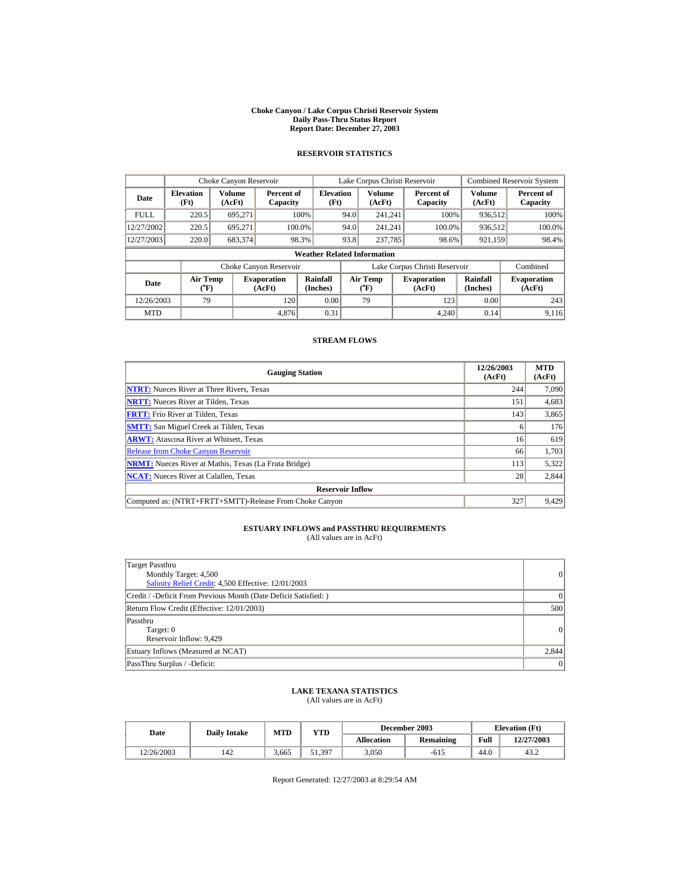#### **Choke Canyon / Lake Corpus Christi Reservoir System Daily Pass-Thru Status Report Report Date: December 27, 2003**

## **RESERVOIR STATISTICS**

|             | Choke Canyon Reservoir                |                  |                              |                             | Lake Corpus Christi Reservoir |                                |  |                               |                         | <b>Combined Reservoir System</b> |  |
|-------------|---------------------------------------|------------------|------------------------------|-----------------------------|-------------------------------|--------------------------------|--|-------------------------------|-------------------------|----------------------------------|--|
| Date        | <b>Elevation</b><br>(Ft)              | Volume<br>(AcFt) | Percent of<br>Capacity       | <b>Elevation</b><br>(Ft)    |                               | Volume<br>(AcFt)               |  | Percent of<br>Capacity        | <b>Volume</b><br>(AcFt) | Percent of<br>Capacity           |  |
| <b>FULL</b> | 220.5                                 | 695.271          |                              | 100%                        | 94.0                          | 241.241                        |  | 100%                          | 936,512                 | 100%                             |  |
| 12/27/2002  | 220.5                                 | 695.271          |                              | 100.0%                      | 94.0                          | 241.241                        |  | 100.0%                        | 936,512                 | 100.0%                           |  |
| 12/27/2003  | 220.0                                 | 683,374          |                              | 98.3%                       | 93.8                          | 237,785                        |  | 98.6%                         | 921,159                 | 98.4%                            |  |
|             | <b>Weather Related Information</b>    |                  |                              |                             |                               |                                |  |                               |                         |                                  |  |
|             |                                       |                  | Choke Canyon Reservoir       |                             |                               |                                |  | Lake Corpus Christi Reservoir |                         | Combined                         |  |
| Date        | <b>Air Temp</b><br>$({}^o\mathrm{F})$ |                  | <b>Evaporation</b><br>(AcFt) | <b>Rainfall</b><br>(Inches) |                               | Air Temp<br>$({}^o\mathrm{F})$ |  | <b>Evaporation</b><br>(AcFt)  | Rainfall<br>(Inches)    | <b>Evaporation</b><br>(AcFt)     |  |
| 12/26/2003  | 79                                    |                  | 120                          | 0.00                        |                               | 79                             |  | 123                           | 0.00                    | 243                              |  |
| <b>MTD</b>  |                                       |                  | 4.876                        | 0.31                        |                               |                                |  | 4.240                         | 0.14                    | 9,116                            |  |

### **STREAM FLOWS**

| <b>Gauging Station</b>                                       | 12/26/2003<br>(AcFt) | <b>MTD</b><br>(AcFt) |
|--------------------------------------------------------------|----------------------|----------------------|
| <b>NTRT:</b> Nueces River at Three Rivers, Texas             | 244                  | 7,090                |
| <b>NRTT:</b> Nueces River at Tilden, Texas                   | 151                  | 4,683                |
| <b>FRTT:</b> Frio River at Tilden, Texas                     | 143                  | 3,865                |
| <b>SMTT:</b> San Miguel Creek at Tilden, Texas               | 6                    | 176                  |
| <b>ARWT:</b> Atascosa River at Whitsett, Texas               | 16                   | 619                  |
| <b>Release from Choke Canyon Reservoir</b>                   | 66                   | 1,703                |
| <b>NRMT:</b> Nueces River at Mathis, Texas (La Fruta Bridge) | 113                  | 5,322                |
| <b>NCAT:</b> Nueces River at Calallen, Texas                 | 28                   | 2,844                |
| <b>Reservoir Inflow</b>                                      |                      |                      |
| Computed as: (NTRT+FRTT+SMTT)-Release From Choke Canyon      | 327                  | 9,429                |

# **ESTUARY INFLOWS and PASSTHRU REQUIREMENTS**<br>(All values are in AcFt)

| Target Passthru<br>Monthly Target: 4,500<br>Salinity Relief Credit: 4,500 Effective: 12/01/2003 | $\vert$ 0 |
|-------------------------------------------------------------------------------------------------|-----------|
| Credit / -Deficit From Previous Month (Date Deficit Satisfied:)                                 | $\Omega$  |
| Return Flow Credit (Effective: 12/01/2003)                                                      | 500       |
| Passthru<br>Target: 0<br>Reservoir Inflow: 9,429                                                | 0         |
| Estuary Inflows (Measured at NCAT)                                                              | 2,844     |
| PassThru Surplus / -Deficit:                                                                    | $\vert$ 0 |

## **LAKE TEXANA STATISTICS** (All values are in AcFt)

| Date       | <b>Daily Intake</b> | MTD   | YTD    |            | December 2003 |      | <b>Elevation</b> (Ft) |
|------------|---------------------|-------|--------|------------|---------------|------|-----------------------|
|            |                     |       |        | Allocation | Remaining     | Full | 12/27/2003            |
| 12/26/2003 | 142                 | 3.665 | 51,397 | 3.050      | $-615$        | 44.0 | 43.2                  |

Report Generated: 12/27/2003 at 8:29:54 AM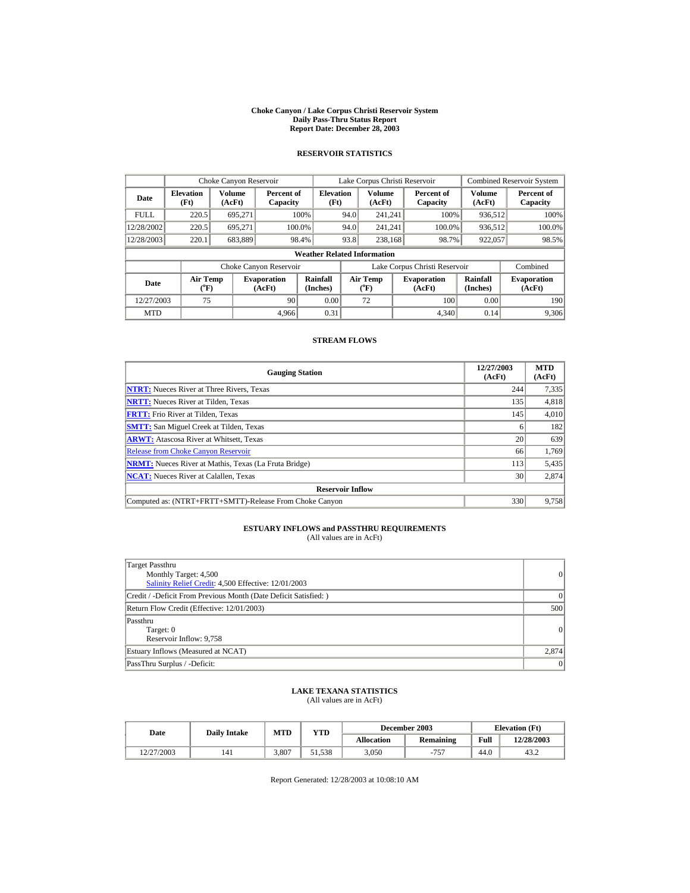#### **Choke Canyon / Lake Corpus Christi Reservoir System Daily Pass-Thru Status Report Report Date: December 28, 2003**

## **RESERVOIR STATISTICS**

|             | Choke Canyon Reservoir                |                  |                              |                                    | Lake Corpus Christi Reservoir |                                |                              |                               |                         | <b>Combined Reservoir System</b> |
|-------------|---------------------------------------|------------------|------------------------------|------------------------------------|-------------------------------|--------------------------------|------------------------------|-------------------------------|-------------------------|----------------------------------|
| Date        | <b>Elevation</b><br>(Ft)              | Volume<br>(AcFt) | Percent of<br>Capacity       | <b>Elevation</b><br>(Ft)           |                               | Volume<br>(AcFt)               |                              | Percent of<br>Capacity        | <b>Volume</b><br>(AcFt) | Percent of<br>Capacity           |
| <b>FULL</b> | 220.5                                 | 695.271          |                              | 100%                               | 94.0                          | 241.241                        |                              | 100%                          | 936,512                 | 100%                             |
| 12/28/2002  | 220.5                                 | 695.271          |                              | 100.0%                             | 94.0                          | 241.241                        |                              | 100.0%                        | 936,512                 | 100.0%                           |
| 12/28/2003  | 220.1                                 | 683,889          |                              | 98.4%                              | 93.8                          | 238.168                        |                              | 98.7%                         | 922,057                 | 98.5%                            |
|             |                                       |                  |                              | <b>Weather Related Information</b> |                               |                                |                              |                               |                         |                                  |
|             |                                       |                  | Choke Canyon Reservoir       |                                    |                               |                                |                              | Lake Corpus Christi Reservoir |                         | Combined                         |
| Date        | <b>Air Temp</b><br>$({}^o\mathrm{F})$ |                  | <b>Evaporation</b><br>(AcFt) | Rainfall<br>(Inches)               |                               | Air Temp<br>$({}^o\mathrm{F})$ | <b>Evaporation</b><br>(AcFt) |                               | Rainfall<br>(Inches)    | <b>Evaporation</b><br>(AcFt)     |
| 12/27/2003  | 75                                    |                  | 90                           | 0.00                               |                               | 72                             |                              | 100                           | 0.00                    | 190                              |
| <b>MTD</b>  |                                       |                  | 4.966                        | 0.31                               |                               |                                |                              | 4,340                         | 0.14                    | 9,306                            |

### **STREAM FLOWS**

| <b>Gauging Station</b>                                       | 12/27/2003<br>(AcFt) | <b>MTD</b><br>(AcFt) |
|--------------------------------------------------------------|----------------------|----------------------|
| <b>NTRT:</b> Nueces River at Three Rivers, Texas             | 244                  | 7,335                |
| <b>NRTT:</b> Nueces River at Tilden, Texas                   | 135                  | 4,818                |
| <b>FRTT:</b> Frio River at Tilden. Texas                     | 145                  | 4,010                |
| <b>SMTT:</b> San Miguel Creek at Tilden, Texas               | 6                    | 182                  |
| <b>ARWT:</b> Atascosa River at Whitsett, Texas               | 20                   | 639                  |
| <b>Release from Choke Canyon Reservoir</b>                   | 66                   | 1,769                |
| <b>NRMT:</b> Nueces River at Mathis, Texas (La Fruta Bridge) | 113                  | 5,435                |
| <b>NCAT:</b> Nueces River at Calallen, Texas                 | 30                   | 2,874                |
| <b>Reservoir Inflow</b>                                      |                      |                      |
| Computed as: (NTRT+FRTT+SMTT)-Release From Choke Canyon      | 330                  | 9,758                |

# **ESTUARY INFLOWS and PASSTHRU REQUIREMENTS**<br>(All values are in AcFt)

| Target Passthru<br>Monthly Target: 4,500<br>Salinity Relief Credit: 4,500 Effective: 12/01/2003 | $\vert$ 0 |
|-------------------------------------------------------------------------------------------------|-----------|
| Credit / -Deficit From Previous Month (Date Deficit Satisfied:)                                 | $\Omega$  |
| Return Flow Credit (Effective: 12/01/2003)                                                      | 500       |
| Passthru<br>Target: 0<br>Reservoir Inflow: 9,758                                                | 0         |
| Estuary Inflows (Measured at NCAT)                                                              | 2,874     |
| PassThru Surplus / -Deficit:                                                                    | $\vert$ 0 |

## **LAKE TEXANA STATISTICS** (All values are in AcFt)

| Date       | <b>Daily Intake</b> | MTD   | YTD    |            | December 2003 |      | <b>Elevation</b> (Ft) |
|------------|---------------------|-------|--------|------------|---------------|------|-----------------------|
|            |                     |       |        | Allocation | Remaining     | Full | 12/28/2003            |
| 12/27/2003 | 141                 | 3.807 | 51.538 | 3.050      | $-757$        | 44.0 | 43.2                  |

Report Generated: 12/28/2003 at 10:08:10 AM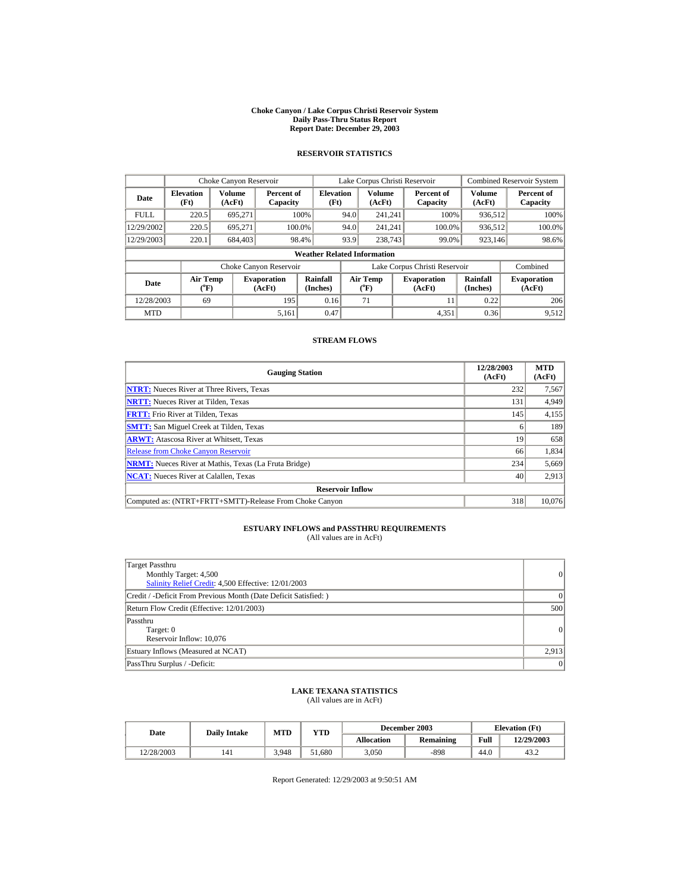#### **Choke Canyon / Lake Corpus Christi Reservoir System Daily Pass-Thru Status Report Report Date: December 29, 2003**

## **RESERVOIR STATISTICS**

|             | Choke Canyon Reservoir                |                  |                              |                                    | Lake Corpus Christi Reservoir |                       |                              |                               |                         | <b>Combined Reservoir System</b> |
|-------------|---------------------------------------|------------------|------------------------------|------------------------------------|-------------------------------|-----------------------|------------------------------|-------------------------------|-------------------------|----------------------------------|
| Date        | <b>Elevation</b><br>(Ft)              | Volume<br>(AcFt) | Percent of<br>Capacity       | <b>Elevation</b><br>(Ft)           |                               | Volume<br>(AcFt)      |                              | Percent of<br>Capacity        | <b>Volume</b><br>(AcFt) | Percent of<br>Capacity           |
| <b>FULL</b> | 220.5                                 | 695.271          |                              | 100%                               | 94.0                          | 241.241               |                              | 100%                          | 936,512                 | 100%                             |
| 12/29/2002  | 220.5                                 | 695.271          |                              | 100.0%                             | 94.0                          | 241.241               |                              | 100.0%                        | 936,512                 | 100.0%                           |
| 12/29/2003  | 220.1                                 | 684,403          |                              | 98.4%                              | 93.9                          | 238,743               |                              | 99.0%                         | 923,146                 | 98.6%                            |
|             |                                       |                  |                              | <b>Weather Related Information</b> |                               |                       |                              |                               |                         |                                  |
|             |                                       |                  | Choke Canyon Reservoir       |                                    |                               |                       |                              | Lake Corpus Christi Reservoir |                         | Combined                         |
| Date        | <b>Air Temp</b><br>$({}^o\mathrm{F})$ |                  | <b>Evaporation</b><br>(AcFt) | Rainfall<br>(Inches)               |                               | Air Temp<br>$(^{o}F)$ | <b>Evaporation</b><br>(AcFt) |                               | Rainfall<br>(Inches)    | <b>Evaporation</b><br>(AcFt)     |
| 12/28/2003  | 69                                    |                  | 195                          | 0.16                               |                               | 71                    |                              | 11                            | 0.22                    | 206                              |
| <b>MTD</b>  |                                       |                  | 5,161                        | 0.47                               |                               |                       |                              | 4,351                         | 0.36                    | 9,512                            |

### **STREAM FLOWS**

| <b>Gauging Station</b>                                       | 12/28/2003<br>(AcFt) | <b>MTD</b><br>(AcFt) |
|--------------------------------------------------------------|----------------------|----------------------|
| <b>NTRT:</b> Nueces River at Three Rivers, Texas             | 232                  | 7,567                |
| <b>NRTT:</b> Nueces River at Tilden, Texas                   | 131                  | 4,949                |
| <b>FRTT:</b> Frio River at Tilden. Texas                     | 145                  | 4,155                |
| <b>SMTT:</b> San Miguel Creek at Tilden, Texas               | <sub>0</sub>         | 189                  |
| <b>ARWT:</b> Atascosa River at Whitsett, Texas               | 19                   | 658                  |
| <b>Release from Choke Canyon Reservoir</b>                   | 66                   | 1,834                |
| <b>NRMT:</b> Nueces River at Mathis, Texas (La Fruta Bridge) | 234                  | 5,669                |
| <b>NCAT:</b> Nueces River at Calallen, Texas                 | 40                   | 2,913                |
| <b>Reservoir Inflow</b>                                      |                      |                      |
| Computed as: (NTRT+FRTT+SMTT)-Release From Choke Canyon      | 318                  | 10,076               |

# **ESTUARY INFLOWS and PASSTHRU REQUIREMENTS**<br>(All values are in AcFt)

| Target Passthru<br>Monthly Target: 4,500<br>Salinity Relief Credit: 4,500 Effective: 12/01/2003 | $\vert$ 0 |
|-------------------------------------------------------------------------------------------------|-----------|
| Credit / -Deficit From Previous Month (Date Deficit Satisfied:)                                 | $\Omega$  |
| Return Flow Credit (Effective: 12/01/2003)                                                      | 500       |
| Passthru<br>Target: 0<br>Reservoir Inflow: 10,076                                               | 0         |
| Estuary Inflows (Measured at NCAT)                                                              | 2,913     |
| PassThru Surplus / -Deficit:                                                                    | $\vert$ 0 |

## **LAKE TEXANA STATISTICS** (All values are in AcFt)

| Date       | <b>Daily Intake</b> | MTD   | YTD    |            | December 2003 |      | <b>Elevation</b> (Ft) |
|------------|---------------------|-------|--------|------------|---------------|------|-----------------------|
|            |                     |       |        | Allocation | Remaining     | Full | 12/29/2003            |
| 12/28/2003 | 141                 | 3.948 | 51.680 | 3.050      | $-898$        | 44.0 | 43.2                  |

Report Generated: 12/29/2003 at 9:50:51 AM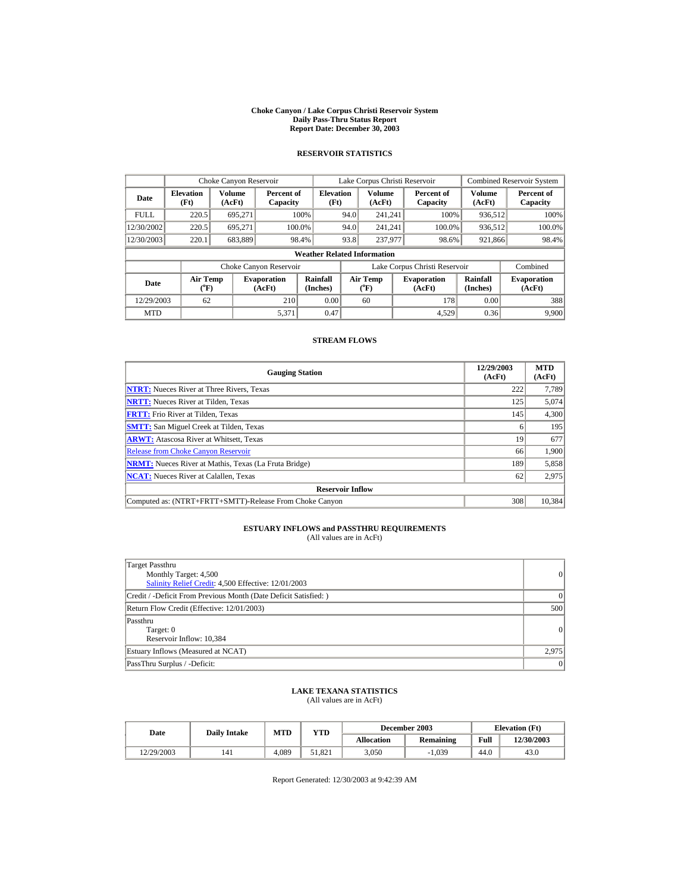#### **Choke Canyon / Lake Corpus Christi Reservoir System Daily Pass-Thru Status Report Report Date: December 30, 2003**

## **RESERVOIR STATISTICS**

|             | Choke Canyon Reservoir                |                  |                              |                                    | Lake Corpus Christi Reservoir |                       |  |                               |                      | <b>Combined Reservoir System</b> |
|-------------|---------------------------------------|------------------|------------------------------|------------------------------------|-------------------------------|-----------------------|--|-------------------------------|----------------------|----------------------------------|
| Date        | <b>Elevation</b><br>(Ft)              | Volume<br>(AcFt) | Percent of<br>Capacity       | <b>Elevation</b><br>(Ft)           |                               | Volume<br>(AcFt)      |  | Percent of<br>Capacity        | Volume<br>(AcFt)     | Percent of<br>Capacity           |
| <b>FULL</b> | 220.5                                 | 695.271          |                              | 100%                               | 94.0                          | 241.241               |  | 100%                          | 936,512              | 100%                             |
| 12/30/2002  | 220.5                                 | 695,271          | 100.0%                       |                                    | 94.0                          | 241.241               |  | 100.0%                        | 936,512              | 100.0%                           |
| 12/30/2003  | 220.1                                 | 683,889          |                              | 98.4%                              | 93.8                          | 237,977               |  | 98.6%                         | 921,866              | 98.4%                            |
|             |                                       |                  |                              | <b>Weather Related Information</b> |                               |                       |  |                               |                      |                                  |
|             |                                       |                  | Choke Canyon Reservoir       |                                    |                               |                       |  | Lake Corpus Christi Reservoir |                      | Combined                         |
| Date        | <b>Air Temp</b><br>$({}^o\mathrm{F})$ |                  | <b>Evaporation</b><br>(AcFt) | Rainfall<br>(Inches)               |                               | Air Temp<br>$(^{o}F)$ |  | <b>Evaporation</b><br>(AcFt)  | Rainfall<br>(Inches) | <b>Evaporation</b><br>(AcFt)     |
| 12/29/2003  | 62                                    |                  | 210                          | 0.00                               |                               | 60                    |  | 178                           | 0.00                 | 388                              |
| <b>MTD</b>  |                                       |                  | 5,371                        | 0.47                               |                               |                       |  | 4.529                         | 0.36                 | 9,900                            |

### **STREAM FLOWS**

| <b>Gauging Station</b>                                       | 12/29/2003<br>(AcFt) | <b>MTD</b><br>(AcFt) |
|--------------------------------------------------------------|----------------------|----------------------|
| <b>NTRT:</b> Nueces River at Three Rivers, Texas             | 222                  | 7,789                |
| <b>NRTT:</b> Nueces River at Tilden, Texas                   | 125                  | 5,074                |
| <b>FRTT:</b> Frio River at Tilden. Texas                     | 145                  | 4,300                |
| <b>SMTT:</b> San Miguel Creek at Tilden, Texas               | <sub>0</sub>         | 195                  |
| <b>ARWT:</b> Atascosa River at Whitsett, Texas               | 19                   | 677                  |
| <b>Release from Choke Canyon Reservoir</b>                   | 66                   | 1,900                |
| <b>NRMT:</b> Nueces River at Mathis, Texas (La Fruta Bridge) | 189                  | 5,858                |
| <b>NCAT:</b> Nueces River at Calallen, Texas                 | 62                   | 2,975                |
| <b>Reservoir Inflow</b>                                      |                      |                      |
| Computed as: (NTRT+FRTT+SMTT)-Release From Choke Canyon      | 308                  | 10,384               |

# **ESTUARY INFLOWS and PASSTHRU REQUIREMENTS**<br>(All values are in AcFt)

| Target Passthru<br>Monthly Target: 4,500<br>Salinity Relief Credit: 4,500 Effective: 12/01/2003 | $\vert$ 0 |
|-------------------------------------------------------------------------------------------------|-----------|
| Credit / -Deficit From Previous Month (Date Deficit Satisfied:)                                 | $\Omega$  |
| Return Flow Credit (Effective: 12/01/2003)                                                      | 500       |
| Passthru<br>Target: 0<br>Reservoir Inflow: 10,384                                               | 0         |
| Estuary Inflows (Measured at NCAT)                                                              | 2,975     |
| PassThru Surplus / -Deficit:                                                                    | $\vert$ 0 |

## **LAKE TEXANA STATISTICS** (All values are in AcFt)

| Date       | <b>Daily Intake</b> | MTD   | YTD    |                   | December 2003 |      | <b>Elevation</b> (Ft) |
|------------|---------------------|-------|--------|-------------------|---------------|------|-----------------------|
|            |                     |       |        | <b>Allocation</b> | Remaining     | Full | 12/30/2003            |
| 12/29/2003 | 141                 | 4.089 | 51.821 | 3.050             | $-1,039$      | 44.0 | 43.0                  |

Report Generated: 12/30/2003 at 9:42:39 AM